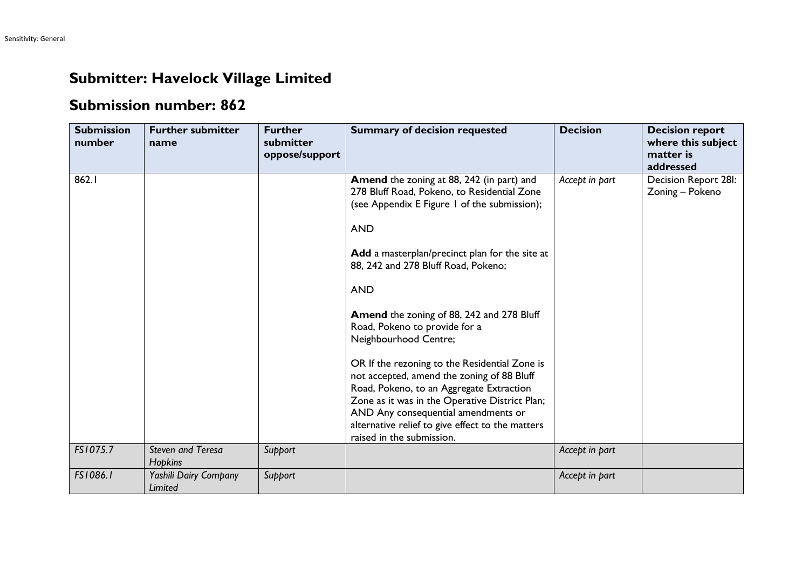## **Submitter: Havelock Village Limited**

## **Submission number: 862**

| <b>Submission</b><br>number | <b>Further submitter</b><br>name           | <b>Further</b><br>submitter<br>oppose/support | <b>Summary of decision requested</b>                                                                                                                                                                                                                                                                                                                                                                                                                                                                                                                                                                                                                                                      | <b>Decision</b> | <b>Decision report</b><br>where this subject<br>matter is<br>addressed |
|-----------------------------|--------------------------------------------|-----------------------------------------------|-------------------------------------------------------------------------------------------------------------------------------------------------------------------------------------------------------------------------------------------------------------------------------------------------------------------------------------------------------------------------------------------------------------------------------------------------------------------------------------------------------------------------------------------------------------------------------------------------------------------------------------------------------------------------------------------|-----------------|------------------------------------------------------------------------|
| 862.1                       |                                            |                                               | Amend the zoning at 88, 242 (in part) and<br>278 Bluff Road, Pokeno, to Residential Zone<br>(see Appendix E Figure 1 of the submission);<br><b>AND</b><br>Add a masterplan/precinct plan for the site at<br>88, 242 and 278 Bluff Road, Pokeno;<br><b>AND</b><br>Amend the zoning of 88, 242 and 278 Bluff<br>Road, Pokeno to provide for a<br>Neighbourhood Centre;<br>OR If the rezoning to the Residential Zone is<br>not accepted, amend the zoning of 88 Bluff<br>Road, Pokeno, to an Aggregate Extraction<br>Zone as it was in the Operative District Plan;<br>AND Any consequential amendments or<br>alternative relief to give effect to the matters<br>raised in the submission. | Accept in part  | Decision Report 28I:<br>Zoning - Pokeno                                |
| FS1075.7                    | <b>Steven and Teresa</b><br><b>Hopkins</b> | Support                                       |                                                                                                                                                                                                                                                                                                                                                                                                                                                                                                                                                                                                                                                                                           | Accept in part  |                                                                        |
| FS1086.1                    | Yashili Dairy Company<br><b>Limited</b>    | Support                                       |                                                                                                                                                                                                                                                                                                                                                                                                                                                                                                                                                                                                                                                                                           | Accept in part  |                                                                        |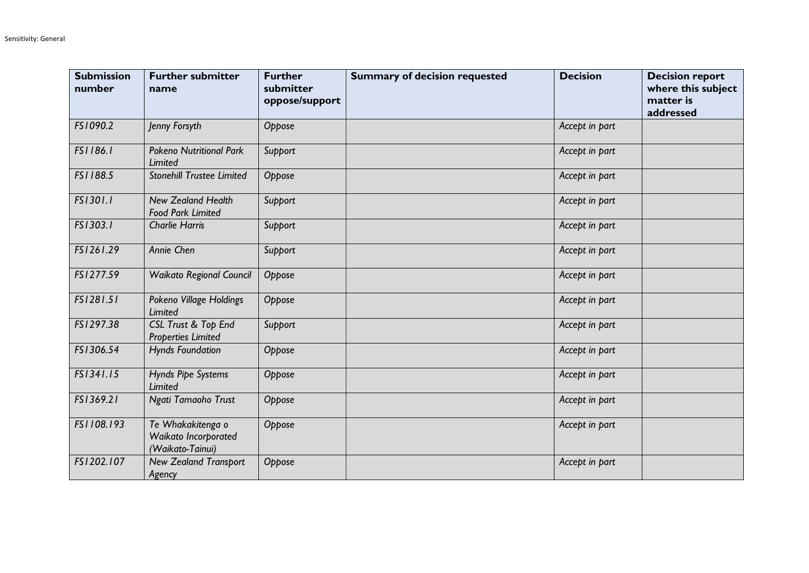| <b>Submission</b><br>number | <b>Further submitter</b><br>name                              | <b>Further</b><br>submitter<br>oppose/support | <b>Summary of decision requested</b> | <b>Decision</b> | <b>Decision report</b><br>where this subject<br>matter is<br>addressed |
|-----------------------------|---------------------------------------------------------------|-----------------------------------------------|--------------------------------------|-----------------|------------------------------------------------------------------------|
| FS1090.2                    | Jenny Forsyth                                                 | Oppose                                        |                                      | Accept in part  |                                                                        |
| FS1186.1                    | <b>Pokeno Nutritional Park</b><br><b>Limited</b>              | Support                                       |                                      | Accept in part  |                                                                        |
| FS1188.5                    | <b>Stonehill Trustee Limited</b>                              | Oppose                                        |                                      | Accept in part  |                                                                        |
| FS1301.1                    | <b>New Zealand Health</b><br><b>Food Park Limited</b>         | Support                                       |                                      | Accept in part  |                                                                        |
| FS1303.1                    | <b>Charlie Harris</b>                                         | Support                                       |                                      | Accept in part  |                                                                        |
| FS1261.29                   | Annie Chen                                                    | Support                                       |                                      | Accept in part  |                                                                        |
| FS1277.59                   | <b>Waikato Regional Council</b>                               | Oppose                                        |                                      | Accept in part  |                                                                        |
| FS1281.51                   | Pokeno Village Holdings<br><b>Limited</b>                     | Oppose                                        |                                      | Accept in part  |                                                                        |
| FS1297.38                   | CSL Trust & Top End<br><b>Properties Limited</b>              | Support                                       |                                      | Accept in part  |                                                                        |
| FS1306.54                   | <b>Hynds Foundation</b>                                       | Oppose                                        |                                      | Accept in part  |                                                                        |
| FS1341.15                   | Hynds Pipe Systems<br>Limited                                 | Oppose                                        |                                      | Accept in part  |                                                                        |
| FS1369.21                   | Ngati Tamaoho Trust                                           | Oppose                                        |                                      | Accept in part  |                                                                        |
| FS1108.193                  | Te Whakakitenga o<br>Waikato Incorporated<br>(Waikato-Tainui) | Oppose                                        |                                      | Accept in part  |                                                                        |
| FS1202.107                  | <b>New Zealand Transport</b><br>Agency                        | Oppose                                        |                                      | Accept in part  |                                                                        |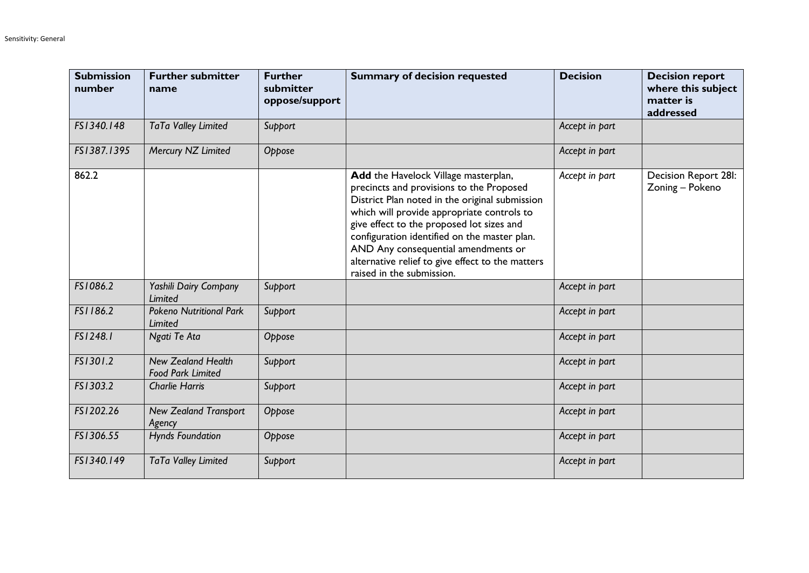| <b>Submission</b><br>number | <b>Further submitter</b><br>name                      | <b>Further</b><br>submitter<br>oppose/support | <b>Summary of decision requested</b>                                                                                                                                                                                                                                                                                                                                                                  | <b>Decision</b> | <b>Decision report</b><br>where this subject<br>matter is<br>addressed |
|-----------------------------|-------------------------------------------------------|-----------------------------------------------|-------------------------------------------------------------------------------------------------------------------------------------------------------------------------------------------------------------------------------------------------------------------------------------------------------------------------------------------------------------------------------------------------------|-----------------|------------------------------------------------------------------------|
| FS1340.148                  | TaTa Valley Limited                                   | Support                                       |                                                                                                                                                                                                                                                                                                                                                                                                       | Accept in part  |                                                                        |
| FS1387.1395                 | Mercury NZ Limited                                    | Oppose                                        |                                                                                                                                                                                                                                                                                                                                                                                                       | Accept in part  |                                                                        |
| 862.2                       |                                                       |                                               | Add the Havelock Village masterplan,<br>precincts and provisions to the Proposed<br>District Plan noted in the original submission<br>which will provide appropriate controls to<br>give effect to the proposed lot sizes and<br>configuration identified on the master plan.<br>AND Any consequential amendments or<br>alternative relief to give effect to the matters<br>raised in the submission. | Accept in part  | Decision Report 28I:<br>Zoning - Pokeno                                |
| FS1086.2                    | Yashili Dairy Company<br>Limited                      | Support                                       |                                                                                                                                                                                                                                                                                                                                                                                                       | Accept in part  |                                                                        |
| FS1186.2                    | <b>Pokeno Nutritional Park</b><br>Limited             | Support                                       |                                                                                                                                                                                                                                                                                                                                                                                                       | Accept in part  |                                                                        |
| FS1248.1                    | Ngati Te Ata                                          | Oppose                                        |                                                                                                                                                                                                                                                                                                                                                                                                       | Accept in part  |                                                                        |
| FS1301.2                    | <b>New Zealand Health</b><br><b>Food Park Limited</b> | Support                                       |                                                                                                                                                                                                                                                                                                                                                                                                       | Accept in part  |                                                                        |
| FS1303.2                    | <b>Charlie Harris</b>                                 | Support                                       |                                                                                                                                                                                                                                                                                                                                                                                                       | Accept in part  |                                                                        |
| FS1202.26                   | <b>New Zealand Transport</b><br>Agency                | Oppose                                        |                                                                                                                                                                                                                                                                                                                                                                                                       | Accept in part  |                                                                        |
| FS1306.55                   | <b>Hynds Foundation</b>                               | Oppose                                        |                                                                                                                                                                                                                                                                                                                                                                                                       | Accept in part  |                                                                        |
| FS1340.149                  | TaTa Valley Limited                                   | Support                                       |                                                                                                                                                                                                                                                                                                                                                                                                       | Accept in part  |                                                                        |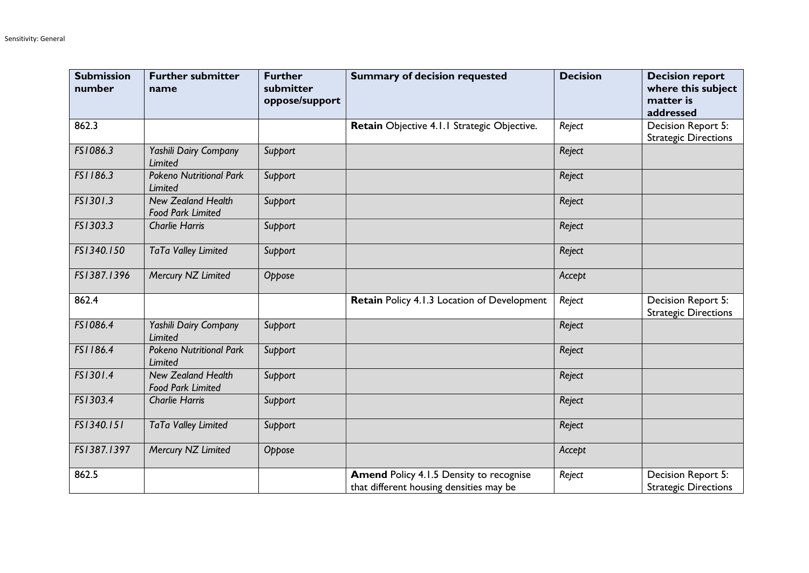| <b>Submission</b><br>number | <b>Further submitter</b><br>name                      | <b>Further</b><br>submitter<br>oppose/support | <b>Summary of decision requested</b>                                               | <b>Decision</b> | <b>Decision report</b><br>where this subject<br>matter is<br>addressed |
|-----------------------------|-------------------------------------------------------|-----------------------------------------------|------------------------------------------------------------------------------------|-----------------|------------------------------------------------------------------------|
| 862.3                       |                                                       |                                               | Retain Objective 4.1.1 Strategic Objective.                                        | Reject          | Decision Report 5:<br><b>Strategic Directions</b>                      |
| FS1086.3                    | Yashili Dairy Company<br>Limited                      | <b>Support</b>                                |                                                                                    | Reject          |                                                                        |
| FS1186.3                    | <b>Pokeno Nutritional Park</b><br>Limited             | Support                                       |                                                                                    | Reject          |                                                                        |
| FS1301.3                    | <b>New Zealand Health</b><br><b>Food Park Limited</b> | Support                                       |                                                                                    | Reject          |                                                                        |
| FS1303.3                    | <b>Charlie Harris</b>                                 | Support                                       |                                                                                    | Reject          |                                                                        |
| FS1340.150                  | TaTa Valley Limited                                   | Support                                       |                                                                                    | Reject          |                                                                        |
| FS1387.1396                 | Mercury NZ Limited                                    | Oppose                                        |                                                                                    | Accept          |                                                                        |
| 862.4                       |                                                       |                                               | Retain Policy 4.1.3 Location of Development                                        | Reject          | Decision Report 5:<br><b>Strategic Directions</b>                      |
| FS1086.4                    | Yashili Dairy Company<br>Limited                      | Support                                       |                                                                                    | Reject          |                                                                        |
| FS1186.4                    | <b>Pokeno Nutritional Park</b><br>Limited             | Support                                       |                                                                                    | Reject          |                                                                        |
| FS1301.4                    | <b>New Zealand Health</b><br><b>Food Park Limited</b> | Support                                       |                                                                                    | Reject          |                                                                        |
| FS1303.4                    | <b>Charlie Harris</b>                                 | Support                                       |                                                                                    | Reject          |                                                                        |
| FS1340.151                  | TaTa Valley Limited                                   | Support                                       |                                                                                    | Reject          |                                                                        |
| FS1387.1397                 | Mercury NZ Limited                                    | Oppose                                        |                                                                                    | Accept          |                                                                        |
| 862.5                       |                                                       |                                               | Amend Policy 4.1.5 Density to recognise<br>that different housing densities may be | Reject          | Decision Report 5:<br><b>Strategic Directions</b>                      |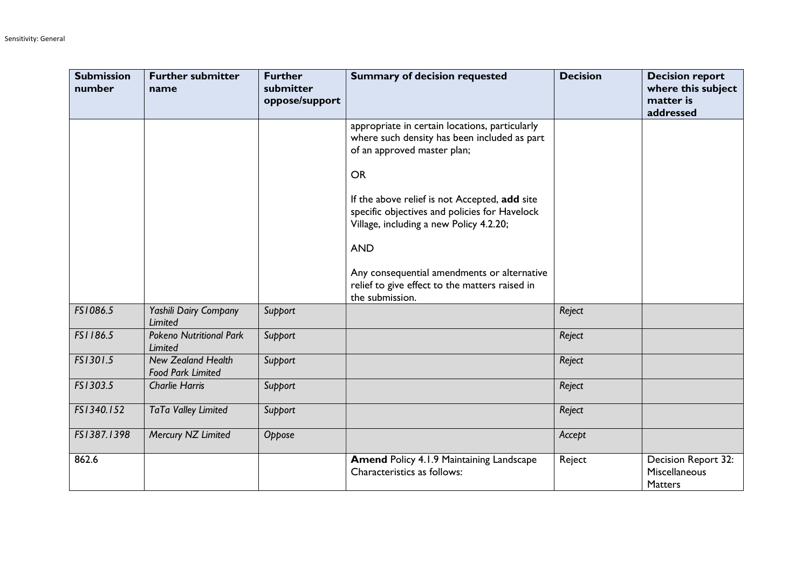| <b>Submission</b><br>number | <b>Further submitter</b><br>name                      | <b>Further</b><br>submitter<br>oppose/support | <b>Summary of decision requested</b>                                                                                                      | <b>Decision</b> | <b>Decision report</b><br>where this subject<br>matter is<br>addressed |
|-----------------------------|-------------------------------------------------------|-----------------------------------------------|-------------------------------------------------------------------------------------------------------------------------------------------|-----------------|------------------------------------------------------------------------|
|                             |                                                       |                                               | appropriate in certain locations, particularly<br>where such density has been included as part<br>of an approved master plan;             |                 |                                                                        |
|                             |                                                       |                                               | <b>OR</b>                                                                                                                                 |                 |                                                                        |
|                             |                                                       |                                               | If the above relief is not Accepted, add site<br>specific objectives and policies for Havelock<br>Village, including a new Policy 4.2.20; |                 |                                                                        |
|                             |                                                       |                                               | <b>AND</b>                                                                                                                                |                 |                                                                        |
|                             |                                                       |                                               | Any consequential amendments or alternative<br>relief to give effect to the matters raised in<br>the submission.                          |                 |                                                                        |
| FS1086.5                    | Yashili Dairy Company<br>Limited                      | Support                                       |                                                                                                                                           | Reject          |                                                                        |
| FS1186.5                    | <b>Pokeno Nutritional Park</b><br><b>Limited</b>      | Support                                       |                                                                                                                                           | Reject          |                                                                        |
| FS1301.5                    | <b>New Zealand Health</b><br><b>Food Park Limited</b> | Support                                       |                                                                                                                                           | Reject          |                                                                        |
| FS1303.5                    | <b>Charlie Harris</b>                                 | Support                                       |                                                                                                                                           | Reject          |                                                                        |
| FS1340.152                  | TaTa Valley Limited                                   | Support                                       |                                                                                                                                           | Reject          |                                                                        |
| FS1387.1398                 | Mercury NZ Limited                                    | Oppose                                        |                                                                                                                                           | Accept          |                                                                        |
| 862.6                       |                                                       |                                               | <b>Amend Policy 4.1.9 Maintaining Landscape</b><br>Characteristics as follows:                                                            | Reject          | Decision Report 32:<br>Miscellaneous<br><b>Matters</b>                 |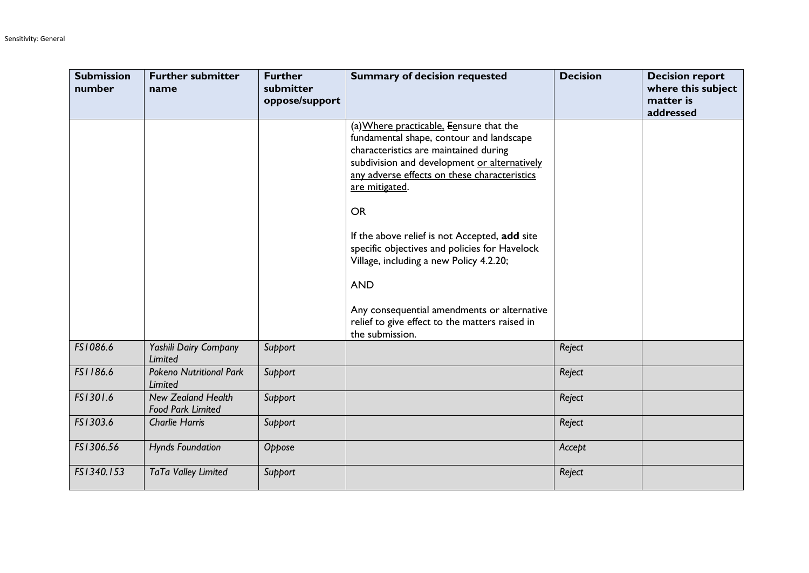| <b>Submission</b><br>number | <b>Further submitter</b><br>name                      | <b>Further</b><br>submitter<br>oppose/support | <b>Summary of decision requested</b>                                                                                                                                                                                                                                                                                                                                                                                                                                                                                                       | <b>Decision</b> | <b>Decision report</b><br>where this subject<br>matter is<br>addressed |
|-----------------------------|-------------------------------------------------------|-----------------------------------------------|--------------------------------------------------------------------------------------------------------------------------------------------------------------------------------------------------------------------------------------------------------------------------------------------------------------------------------------------------------------------------------------------------------------------------------------------------------------------------------------------------------------------------------------------|-----------------|------------------------------------------------------------------------|
|                             |                                                       |                                               | (a) Where practicable, Eensure that the<br>fundamental shape, contour and landscape<br>characteristics are maintained during<br>subdivision and development or alternatively<br>any adverse effects on these characteristics<br>are mitigated.<br><b>OR</b><br>If the above relief is not Accepted, add site<br>specific objectives and policies for Havelock<br>Village, including a new Policy 4.2.20;<br><b>AND</b><br>Any consequential amendments or alternative<br>relief to give effect to the matters raised in<br>the submission. |                 |                                                                        |
| FS1086.6                    | Yashili Dairy Company<br><b>Limited</b>               | Support                                       |                                                                                                                                                                                                                                                                                                                                                                                                                                                                                                                                            | Reject          |                                                                        |
| FS1186.6                    | <b>Pokeno Nutritional Park</b><br><b>Limited</b>      | Support                                       |                                                                                                                                                                                                                                                                                                                                                                                                                                                                                                                                            | Reject          |                                                                        |
| FS1301.6                    | <b>New Zealand Health</b><br><b>Food Park Limited</b> | Support                                       |                                                                                                                                                                                                                                                                                                                                                                                                                                                                                                                                            | Reject          |                                                                        |
| FS1303.6                    | <b>Charlie Harris</b>                                 | Support                                       |                                                                                                                                                                                                                                                                                                                                                                                                                                                                                                                                            | Reject          |                                                                        |
| FS1306.56                   | <b>Hynds Foundation</b>                               | Oppose                                        |                                                                                                                                                                                                                                                                                                                                                                                                                                                                                                                                            | Accept          |                                                                        |
| FS1340.153                  | TaTa Valley Limited                                   | Support                                       |                                                                                                                                                                                                                                                                                                                                                                                                                                                                                                                                            | Reject          |                                                                        |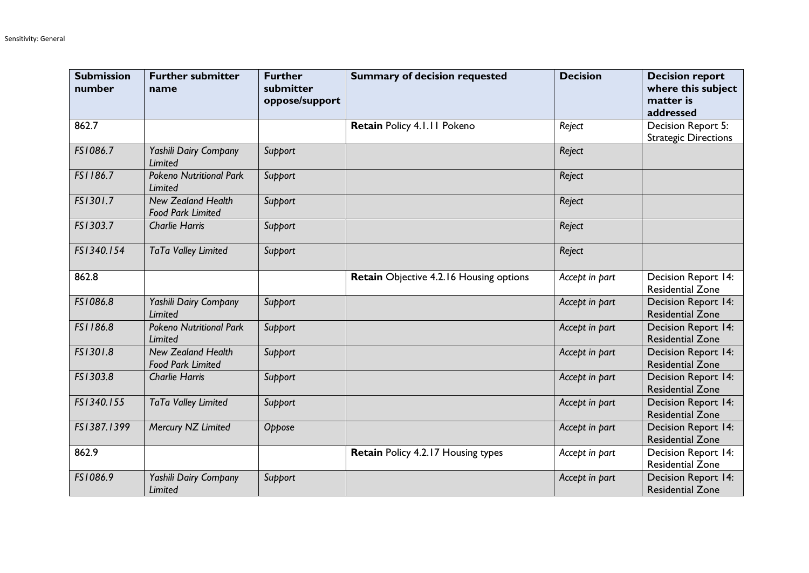| <b>Submission</b><br>number | <b>Further submitter</b><br>name                      | <b>Further</b><br>submitter<br>oppose/support | <b>Summary of decision requested</b>    | <b>Decision</b> | <b>Decision report</b><br>where this subject<br>matter is<br>addressed |
|-----------------------------|-------------------------------------------------------|-----------------------------------------------|-----------------------------------------|-----------------|------------------------------------------------------------------------|
| 862.7                       |                                                       |                                               | Retain Policy 4.1.11 Pokeno             | Reject          | Decision Report 5:<br><b>Strategic Directions</b>                      |
| FS1086.7                    | Yashili Dairy Company<br>Limited                      | Support                                       |                                         | Reject          |                                                                        |
| FS1186.7                    | <b>Pokeno Nutritional Park</b><br>Limited             | Support                                       |                                         | Reject          |                                                                        |
| FS1301.7                    | <b>New Zealand Health</b><br><b>Food Park Limited</b> | Support                                       |                                         | Reject          |                                                                        |
| FS1303.7                    | <b>Charlie Harris</b>                                 | Support                                       |                                         | Reject          |                                                                        |
| FS1340.154                  | TaTa Valley Limited                                   | Support                                       |                                         | Reject          |                                                                        |
| 862.8                       |                                                       |                                               | Retain Objective 4.2.16 Housing options | Accept in part  | Decision Report 14:<br><b>Residential Zone</b>                         |
| FS1086.8                    | Yashili Dairy Company<br>Limited                      | Support                                       |                                         | Accept in part  | <b>Decision Report 14:</b><br><b>Residential Zone</b>                  |
| FS1186.8                    | <b>Pokeno Nutritional Park</b><br>Limited             | Support                                       |                                         | Accept in part  | <b>Decision Report 14:</b><br><b>Residential Zone</b>                  |
| FS1301.8                    | <b>New Zealand Health</b><br><b>Food Park Limited</b> | Support                                       |                                         | Accept in part  | Decision Report 14:<br><b>Residential Zone</b>                         |
| FS1303.8                    | <b>Charlie Harris</b>                                 | Support                                       |                                         | Accept in part  | <b>Decision Report 14:</b><br><b>Residential Zone</b>                  |
| FS1340.155                  | TaTa Valley Limited                                   | Support                                       |                                         | Accept in part  | <b>Decision Report 14:</b><br><b>Residential Zone</b>                  |
| FS1387.1399                 | Mercury NZ Limited                                    | Oppose                                        |                                         | Accept in part  | <b>Decision Report 14:</b><br><b>Residential Zone</b>                  |
| 862.9                       |                                                       |                                               | Retain Policy 4.2.17 Housing types      | Accept in part  | Decision Report 14:<br><b>Residential Zone</b>                         |
| FS1086.9                    | Yashili Dairy Company<br>Limited                      | Support                                       |                                         | Accept in part  | Decision Report 14:<br><b>Residential Zone</b>                         |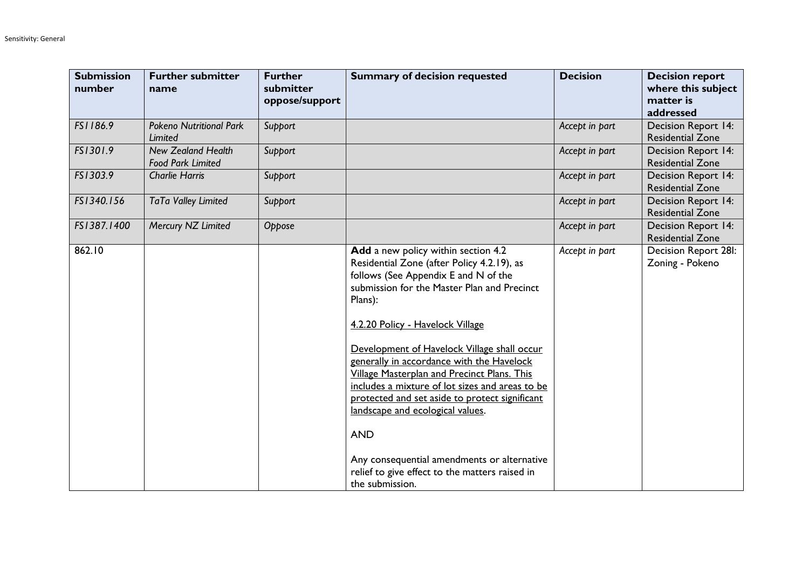| <b>Submission</b><br>number | <b>Further submitter</b><br>name                      | <b>Further</b><br>submitter<br>oppose/support | <b>Summary of decision requested</b>                                                                                                                                                                                                                                                                                                                                                                                                                                                                                                                                                                                                                 | <b>Decision</b> | <b>Decision report</b><br>where this subject<br>matter is<br>addressed |
|-----------------------------|-------------------------------------------------------|-----------------------------------------------|------------------------------------------------------------------------------------------------------------------------------------------------------------------------------------------------------------------------------------------------------------------------------------------------------------------------------------------------------------------------------------------------------------------------------------------------------------------------------------------------------------------------------------------------------------------------------------------------------------------------------------------------------|-----------------|------------------------------------------------------------------------|
| FS1186.9                    | <b>Pokeno Nutritional Park</b><br>Limited             | Support                                       |                                                                                                                                                                                                                                                                                                                                                                                                                                                                                                                                                                                                                                                      | Accept in part  | <b>Decision Report 14:</b><br><b>Residential Zone</b>                  |
| FS1301.9                    | <b>New Zealand Health</b><br><b>Food Park Limited</b> | Support                                       |                                                                                                                                                                                                                                                                                                                                                                                                                                                                                                                                                                                                                                                      | Accept in part  | Decision Report 14:<br><b>Residential Zone</b>                         |
| FS1303.9                    | <b>Charlie Harris</b>                                 | Support                                       |                                                                                                                                                                                                                                                                                                                                                                                                                                                                                                                                                                                                                                                      | Accept in part  | <b>Decision Report 14:</b><br><b>Residential Zone</b>                  |
| FS1340.156                  | TaTa Valley Limited                                   | Support                                       |                                                                                                                                                                                                                                                                                                                                                                                                                                                                                                                                                                                                                                                      | Accept in part  | Decision Report 14:<br><b>Residential Zone</b>                         |
| FS1387.1400                 | Mercury NZ Limited                                    | Oppose                                        |                                                                                                                                                                                                                                                                                                                                                                                                                                                                                                                                                                                                                                                      | Accept in part  | Decision Report 14:<br><b>Residential Zone</b>                         |
| 862.10                      |                                                       |                                               | Add a new policy within section 4.2<br>Residential Zone (after Policy 4.2.19), as<br>follows (See Appendix E and N of the<br>submission for the Master Plan and Precinct<br>Plans):<br>4.2.20 Policy - Havelock Village<br>Development of Havelock Village shall occur<br>generally in accordance with the Havelock<br><b>Village Masterplan and Precinct Plans. This</b><br>includes a mixture of lot sizes and areas to be<br>protected and set aside to protect significant<br>landscape and ecological values.<br><b>AND</b><br>Any consequential amendments or alternative<br>relief to give effect to the matters raised in<br>the submission. | Accept in part  | Decision Report 28I:<br>Zoning - Pokeno                                |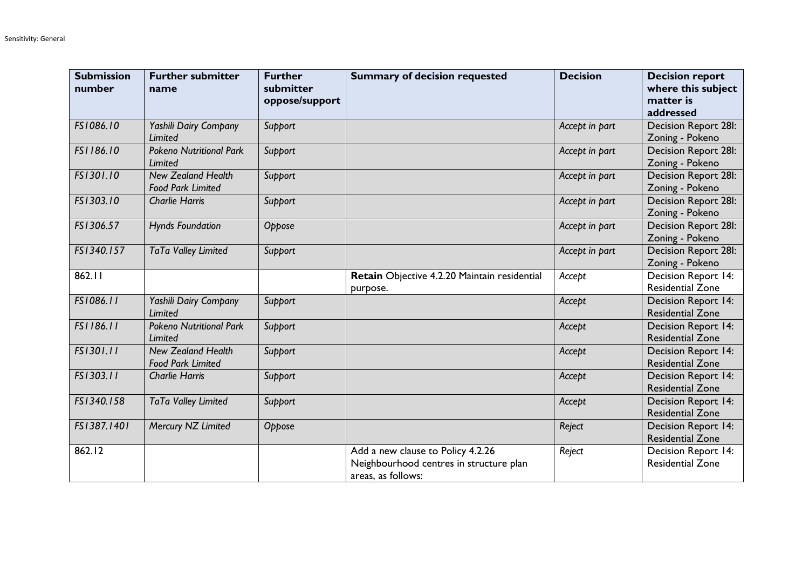| <b>Submission</b><br>number | <b>Further submitter</b><br>name                      | <b>Further</b><br>submitter<br>oppose/support | <b>Summary of decision requested</b>                                                               | <b>Decision</b> | <b>Decision report</b><br>where this subject<br>matter is<br>addressed |
|-----------------------------|-------------------------------------------------------|-----------------------------------------------|----------------------------------------------------------------------------------------------------|-----------------|------------------------------------------------------------------------|
| FS1086.10                   | Yashili Dairy Company<br>Limited                      | Support                                       |                                                                                                    | Accept in part  | Decision Report 28I:<br>Zoning - Pokeno                                |
| FS1186.10                   | <b>Pokeno Nutritional Park</b><br>Limited             | Support                                       |                                                                                                    | Accept in part  | Decision Report 28I:<br>Zoning - Pokeno                                |
| FS1301.10                   | <b>New Zealand Health</b><br><b>Food Park Limited</b> | Support                                       |                                                                                                    | Accept in part  | Decision Report 28I:<br>Zoning - Pokeno                                |
| FS1303.10                   | <b>Charlie Harris</b>                                 | Support                                       |                                                                                                    | Accept in part  | <b>Decision Report 28I:</b><br>Zoning - Pokeno                         |
| FS1306.57                   | <b>Hynds Foundation</b>                               | Oppose                                        |                                                                                                    | Accept in part  | Decision Report 28I:<br>Zoning - Pokeno                                |
| FS1340.157                  | TaTa Valley Limited                                   | Support                                       |                                                                                                    | Accept in part  | Decision Report 28I:<br>Zoning - Pokeno                                |
| 862.11                      |                                                       |                                               | Retain Objective 4.2.20 Maintain residential<br>purpose.                                           | Accept          | Decision Report 14:<br><b>Residential Zone</b>                         |
| FS1086.11                   | Yashili Dairy Company<br>Limited                      | Support                                       |                                                                                                    | Accept          | <b>Decision Report 14:</b><br><b>Residential Zone</b>                  |
| FS1186.11                   | <b>Pokeno Nutritional Park</b><br>Limited             | Support                                       |                                                                                                    | Accept          | <b>Decision Report 14:</b><br><b>Residential Zone</b>                  |
| FS1301.11                   | <b>New Zealand Health</b><br><b>Food Park Limited</b> | Support                                       |                                                                                                    | Accept          | Decision Report 14:<br><b>Residential Zone</b>                         |
| FS1303.11                   | <b>Charlie Harris</b>                                 | Support                                       |                                                                                                    | Accept          | Decision Report 14:<br><b>Residential Zone</b>                         |
| FS1340.158                  | TaTa Valley Limited                                   | Support                                       |                                                                                                    | Accept          | <b>Decision Report 14:</b><br><b>Residential Zone</b>                  |
| FS1387.1401                 | Mercury NZ Limited                                    | Oppose                                        |                                                                                                    | Reject          | Decision Report 14:<br><b>Residential Zone</b>                         |
| 862.12                      |                                                       |                                               | Add a new clause to Policy 4.2.26<br>Neighbourhood centres in structure plan<br>areas, as follows: | Reject          | Decision Report 14:<br><b>Residential Zone</b>                         |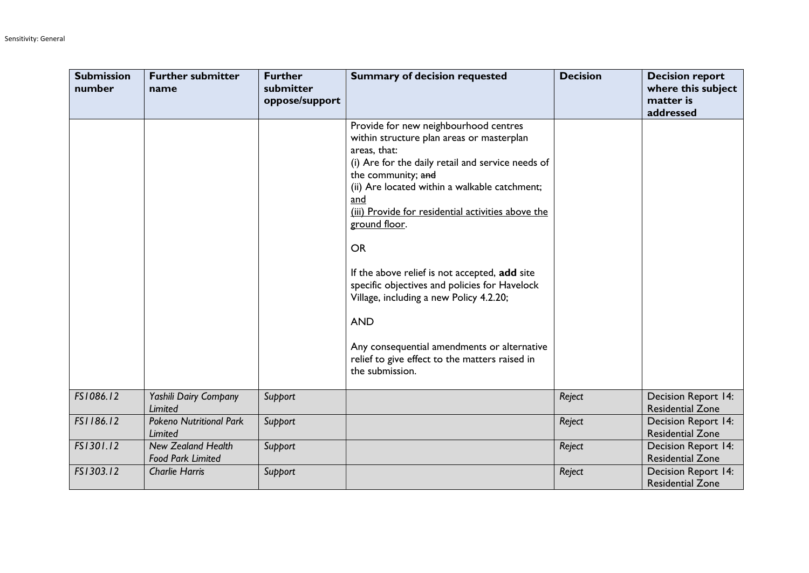| <b>Submission</b><br>number | <b>Further submitter</b><br>name                      | <b>Further</b><br>submitter<br>oppose/support | <b>Summary of decision requested</b>                                                                                                                                                                                                                                                                                                                                                                                                                                                                                                                                                                     | <b>Decision</b> | <b>Decision report</b><br>where this subject<br>matter is<br>addressed |
|-----------------------------|-------------------------------------------------------|-----------------------------------------------|----------------------------------------------------------------------------------------------------------------------------------------------------------------------------------------------------------------------------------------------------------------------------------------------------------------------------------------------------------------------------------------------------------------------------------------------------------------------------------------------------------------------------------------------------------------------------------------------------------|-----------------|------------------------------------------------------------------------|
|                             |                                                       |                                               | Provide for new neighbourhood centres<br>within structure plan areas or masterplan<br>areas, that:<br>(i) Are for the daily retail and service needs of<br>the community; and<br>(ii) Are located within a walkable catchment;<br>and<br>(iii) Provide for residential activities above the<br>ground floor.<br><b>OR</b><br>If the above relief is not accepted, add site<br>specific objectives and policies for Havelock<br>Village, including a new Policy 4.2.20;<br><b>AND</b><br>Any consequential amendments or alternative<br>relief to give effect to the matters raised in<br>the submission. |                 |                                                                        |
| FS1086.12                   | Yashili Dairy Company<br>Limited                      | Support                                       |                                                                                                                                                                                                                                                                                                                                                                                                                                                                                                                                                                                                          | Reject          | <b>Decision Report 14:</b><br><b>Residential Zone</b>                  |
| FS1186.12                   | <b>Pokeno Nutritional Park</b><br>Limited             | Support                                       |                                                                                                                                                                                                                                                                                                                                                                                                                                                                                                                                                                                                          | Reject          | Decision Report 14:<br><b>Residential Zone</b>                         |
| FS1301.12                   | <b>New Zealand Health</b><br><b>Food Park Limited</b> | Support                                       |                                                                                                                                                                                                                                                                                                                                                                                                                                                                                                                                                                                                          | Reject          | Decision Report 14:<br><b>Residential Zone</b>                         |
| FS1303.12                   | <b>Charlie Harris</b>                                 | Support                                       |                                                                                                                                                                                                                                                                                                                                                                                                                                                                                                                                                                                                          | Reject          | Decision Report 14:<br><b>Residential Zone</b>                         |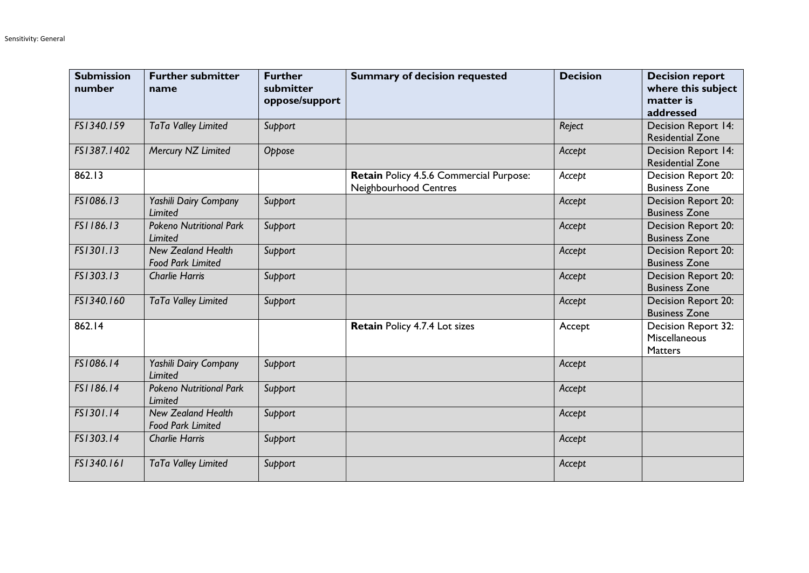| <b>Submission</b><br>number | <b>Further submitter</b><br>name                      | <b>Further</b><br>submitter<br>oppose/support | <b>Summary of decision requested</b>                             | <b>Decision</b> | <b>Decision report</b><br>where this subject<br>matter is<br>addressed |
|-----------------------------|-------------------------------------------------------|-----------------------------------------------|------------------------------------------------------------------|-----------------|------------------------------------------------------------------------|
| FS1340.159                  | TaTa Valley Limited                                   | Support                                       |                                                                  | Reject          | Decision Report 14:<br><b>Residential Zone</b>                         |
| FS1387.1402                 | Mercury NZ Limited                                    | Oppose                                        |                                                                  | Accept          | Decision Report 14:<br><b>Residential Zone</b>                         |
| 862.13                      |                                                       |                                               | Retain Policy 4.5.6 Commercial Purpose:<br>Neighbourhood Centres | Accept          | Decision Report 20:<br><b>Business Zone</b>                            |
| FS1086.13                   | Yashili Dairy Company<br>Limited                      | Support                                       |                                                                  | Accept          | Decision Report 20:<br><b>Business Zone</b>                            |
| FS1186.13                   | <b>Pokeno Nutritional Park</b><br>Limited             | Support                                       |                                                                  | Accept          | Decision Report 20:<br><b>Business Zone</b>                            |
| FS1301.13                   | <b>New Zealand Health</b><br><b>Food Park Limited</b> | Support                                       |                                                                  | Accept          | Decision Report 20:<br><b>Business Zone</b>                            |
| FS1303.13                   | <b>Charlie Harris</b>                                 | Support                                       |                                                                  | Accept          | Decision Report 20:<br><b>Business Zone</b>                            |
| FS1340.160                  | TaTa Valley Limited                                   | Support                                       |                                                                  | Accept          | Decision Report 20:<br><b>Business Zone</b>                            |
| 862.14                      |                                                       |                                               | Retain Policy 4.7.4 Lot sizes                                    | Accept          | Decision Report 32:<br>Miscellaneous<br><b>Matters</b>                 |
| FS1086.14                   | Yashili Dairy Company<br>Limited                      | Support                                       |                                                                  | Accept          |                                                                        |
| FS1186.14                   | <b>Pokeno Nutritional Park</b><br>Limited             | Support                                       |                                                                  | Accept          |                                                                        |
| FS1301.14                   | <b>New Zealand Health</b><br><b>Food Park Limited</b> | Support                                       |                                                                  | Accept          |                                                                        |
| FS1303.14                   | <b>Charlie Harris</b>                                 | Support                                       |                                                                  | Accept          |                                                                        |
| FS1340.161                  | TaTa Valley Limited                                   | Support                                       |                                                                  | Accept          |                                                                        |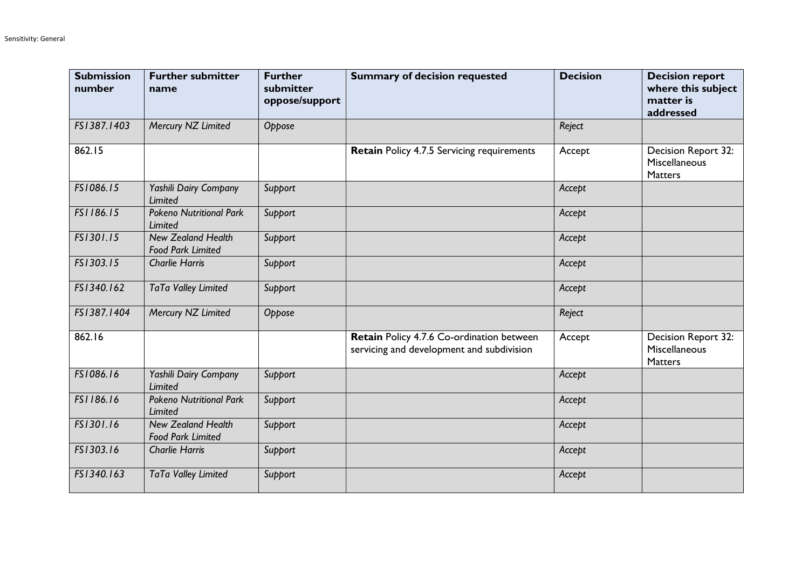| <b>Submission</b><br>number | <b>Further submitter</b><br>name                      | <b>Further</b><br>submitter<br>oppose/support | <b>Summary of decision requested</b>                                                   | <b>Decision</b> | <b>Decision report</b><br>where this subject<br>matter is<br>addressed |
|-----------------------------|-------------------------------------------------------|-----------------------------------------------|----------------------------------------------------------------------------------------|-----------------|------------------------------------------------------------------------|
| FS1387.1403                 | Mercury NZ Limited                                    | Oppose                                        |                                                                                        | Reject          |                                                                        |
| 862.15                      |                                                       |                                               | <b>Retain Policy 4.7.5 Servicing requirements</b>                                      | Accept          | Decision Report 32:<br>Miscellaneous<br><b>Matters</b>                 |
| FS1086.15                   | Yashili Dairy Company<br><b>Limited</b>               | Support                                       |                                                                                        | Accept          |                                                                        |
| FS1186.15                   | <b>Pokeno Nutritional Park</b><br>Limited             | Support                                       |                                                                                        | Accept          |                                                                        |
| FS1301.15                   | <b>New Zealand Health</b><br><b>Food Park Limited</b> | Support                                       |                                                                                        | Accept          |                                                                        |
| FS1303.15                   | <b>Charlie Harris</b>                                 | Support                                       |                                                                                        | Accept          |                                                                        |
| FS1340.162                  | TaTa Valley Limited                                   | Support                                       |                                                                                        | Accept          |                                                                        |
| FS1387.1404                 | Mercury NZ Limited                                    | Oppose                                        |                                                                                        | Reject          |                                                                        |
| 862.16                      |                                                       |                                               | Retain Policy 4.7.6 Co-ordination between<br>servicing and development and subdivision | Accept          | Decision Report 32:<br>Miscellaneous<br>Matters                        |
| FS1086.16                   | Yashili Dairy Company<br>Limited                      | Support                                       |                                                                                        | Accept          |                                                                        |
| FS1186.16                   | <b>Pokeno Nutritional Park</b><br>Limited             | Support                                       |                                                                                        | Accept          |                                                                        |
| FS1301.16                   | <b>New Zealand Health</b><br><b>Food Park Limited</b> | Support                                       |                                                                                        | Accept          |                                                                        |
| FS1303.16                   | <b>Charlie Harris</b>                                 | Support                                       |                                                                                        | Accept          |                                                                        |
| FS1340.163                  | TaTa Valley Limited                                   | Support                                       |                                                                                        | Accept          |                                                                        |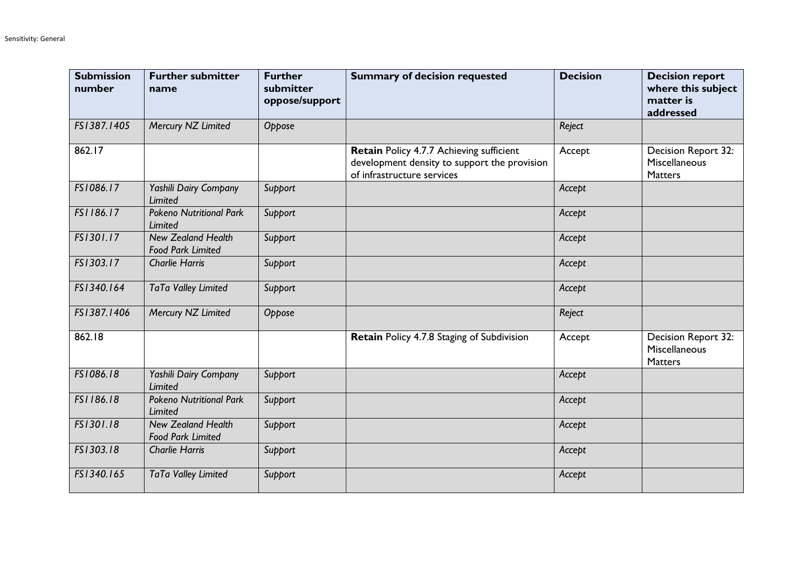| <b>Submission</b><br>number | <b>Further submitter</b><br>name                      | <b>Further</b><br>submitter<br>oppose/support | <b>Summary of decision requested</b>                                                                                   | <b>Decision</b> | <b>Decision report</b><br>where this subject<br>matter is<br>addressed |
|-----------------------------|-------------------------------------------------------|-----------------------------------------------|------------------------------------------------------------------------------------------------------------------------|-----------------|------------------------------------------------------------------------|
| FS1387.1405                 | Mercury NZ Limited                                    | Oppose                                        |                                                                                                                        | Reject          |                                                                        |
| 862.17                      |                                                       |                                               | Retain Policy 4.7.7 Achieving sufficient<br>development density to support the provision<br>of infrastructure services | Accept          | Decision Report 32:<br>Miscellaneous<br><b>Matters</b>                 |
| FS1086.17                   | Yashili Dairy Company<br>Limited                      | Support                                       |                                                                                                                        | Accept          |                                                                        |
| FS1186.17                   | <b>Pokeno Nutritional Park</b><br>Limited             | Support                                       |                                                                                                                        | Accept          |                                                                        |
| FS1301.17                   | <b>New Zealand Health</b><br><b>Food Park Limited</b> | Support                                       |                                                                                                                        | Accept          |                                                                        |
| FS1303.17                   | <b>Charlie Harris</b>                                 | Support                                       |                                                                                                                        | Accept          |                                                                        |
| FS1340.164                  | TaTa Valley Limited                                   | Support                                       |                                                                                                                        | Accept          |                                                                        |
| FS1387.1406                 | Mercury NZ Limited                                    | Oppose                                        |                                                                                                                        | Reject          |                                                                        |
| 862.18                      |                                                       |                                               | Retain Policy 4.7.8 Staging of Subdivision                                                                             | Accept          | Decision Report 32:<br>Miscellaneous<br>Matters                        |
| FS1086.18                   | Yashili Dairy Company<br><b>Limited</b>               | Support                                       |                                                                                                                        | Accept          |                                                                        |
| FS1186.18                   | <b>Pokeno Nutritional Park</b><br>Limited             | Support                                       |                                                                                                                        | Accept          |                                                                        |
| FS1301.18                   | <b>New Zealand Health</b><br><b>Food Park Limited</b> | Support                                       |                                                                                                                        | Accept          |                                                                        |
| FS1303.18                   | <b>Charlie Harris</b>                                 | Support                                       |                                                                                                                        | Accept          |                                                                        |
| FS1340.165                  | TaTa Valley Limited                                   | Support                                       |                                                                                                                        | Accept          |                                                                        |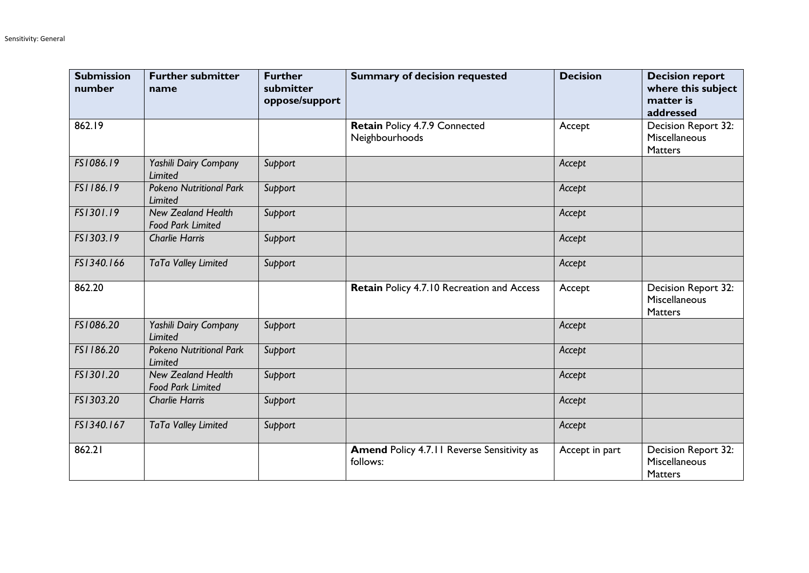| <b>Submission</b><br>number | <b>Further submitter</b><br>name                      | <b>Further</b><br>submitter<br>oppose/support | <b>Summary of decision requested</b>                          | <b>Decision</b> | <b>Decision report</b><br>where this subject<br>matter is<br>addressed |
|-----------------------------|-------------------------------------------------------|-----------------------------------------------|---------------------------------------------------------------|-----------------|------------------------------------------------------------------------|
| 862.19                      |                                                       |                                               | Retain Policy 4.7.9 Connected<br>Neighbourhoods               | Accept          | Decision Report 32:<br>Miscellaneous<br><b>Matters</b>                 |
| FS1086.19                   | Yashili Dairy Company<br>Limited                      | Support                                       |                                                               | Accept          |                                                                        |
| FS1186.19                   | <b>Pokeno Nutritional Park</b><br>Limited             | Support                                       |                                                               | Accept          |                                                                        |
| FS1301.19                   | <b>New Zealand Health</b><br><b>Food Park Limited</b> | Support                                       |                                                               | Accept          |                                                                        |
| FS1303.19                   | <b>Charlie Harris</b>                                 | Support                                       |                                                               | Accept          |                                                                        |
| FS1340.166                  | TaTa Valley Limited                                   | Support                                       |                                                               | Accept          |                                                                        |
| 862.20                      |                                                       |                                               | Retain Policy 4.7.10 Recreation and Access                    | Accept          | Decision Report 32:<br>Miscellaneous<br><b>Matters</b>                 |
| FS1086.20                   | Yashili Dairy Company<br>Limited                      | Support                                       |                                                               | Accept          |                                                                        |
| FS1186.20                   | <b>Pokeno Nutritional Park</b><br>Limited             | Support                                       |                                                               | Accept          |                                                                        |
| FS1301.20                   | <b>New Zealand Health</b><br><b>Food Park Limited</b> | Support                                       |                                                               | Accept          |                                                                        |
| FS1303.20                   | <b>Charlie Harris</b>                                 | Support                                       |                                                               | Accept          |                                                                        |
| FS1340.167                  | TaTa Valley Limited                                   | Support                                       |                                                               | Accept          |                                                                        |
| 862.21                      |                                                       |                                               | <b>Amend Policy 4.7.11 Reverse Sensitivity as</b><br>follows: | Accept in part  | Decision Report 32:<br>Miscellaneous<br><b>Matters</b>                 |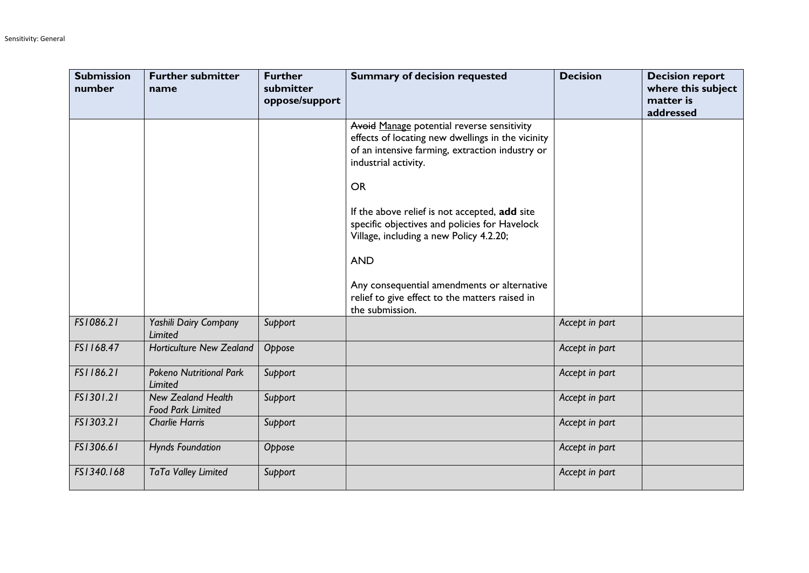| <b>Submission</b><br>number | <b>Further submitter</b><br>name                      | <b>Further</b><br>submitter<br>oppose/support | <b>Summary of decision requested</b>                                                                                                                                                    | <b>Decision</b> | <b>Decision report</b><br>where this subject<br>matter is<br>addressed |
|-----------------------------|-------------------------------------------------------|-----------------------------------------------|-----------------------------------------------------------------------------------------------------------------------------------------------------------------------------------------|-----------------|------------------------------------------------------------------------|
|                             |                                                       |                                               | Avoid Manage potential reverse sensitivity<br>effects of locating new dwellings in the vicinity<br>of an intensive farming, extraction industry or<br>industrial activity.<br><b>OR</b> |                 |                                                                        |
|                             |                                                       |                                               | If the above relief is not accepted, add site<br>specific objectives and policies for Havelock<br>Village, including a new Policy 4.2.20;<br><b>AND</b>                                 |                 |                                                                        |
|                             |                                                       |                                               | Any consequential amendments or alternative<br>relief to give effect to the matters raised in<br>the submission.                                                                        |                 |                                                                        |
| FS1086.21                   | Yashili Dairy Company<br>Limited                      | Support                                       |                                                                                                                                                                                         | Accept in part  |                                                                        |
| FS1168.47                   | <b>Horticulture New Zealand</b>                       | Oppose                                        |                                                                                                                                                                                         | Accept in part  |                                                                        |
| FS1186.21                   | <b>Pokeno Nutritional Park</b><br><b>Limited</b>      | Support                                       |                                                                                                                                                                                         | Accept in part  |                                                                        |
| FS1301.21                   | <b>New Zealand Health</b><br><b>Food Park Limited</b> | Support                                       |                                                                                                                                                                                         | Accept in part  |                                                                        |
| FS1303.21                   | <b>Charlie Harris</b>                                 | Support                                       |                                                                                                                                                                                         | Accept in part  |                                                                        |
| FS1306.61                   | <b>Hynds Foundation</b>                               | Oppose                                        |                                                                                                                                                                                         | Accept in part  |                                                                        |
| FS1340.168                  | TaTa Valley Limited                                   | Support                                       |                                                                                                                                                                                         | Accept in part  |                                                                        |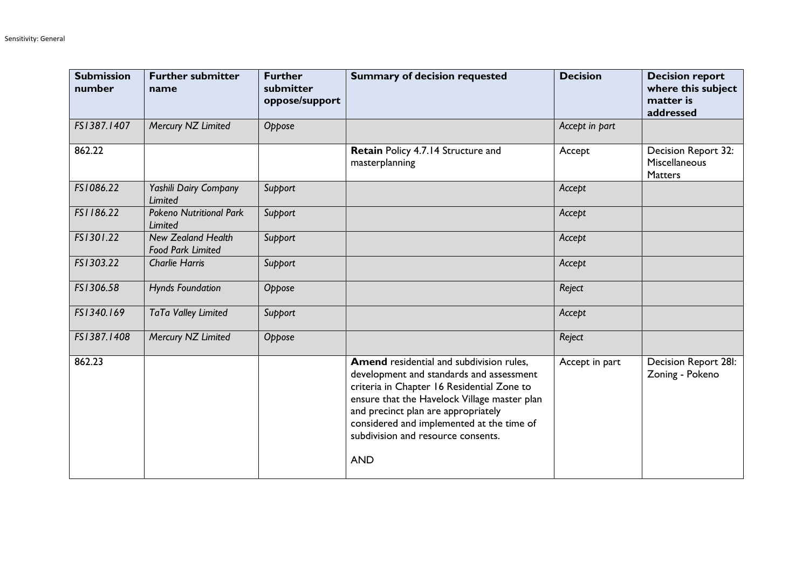| <b>Submission</b><br>number | <b>Further submitter</b><br>name                      | <b>Further</b><br>submitter<br>oppose/support | <b>Summary of decision requested</b>                                                                                                                                                                                                                                                                                       | <b>Decision</b> | <b>Decision report</b><br>where this subject<br>matter is<br>addressed |
|-----------------------------|-------------------------------------------------------|-----------------------------------------------|----------------------------------------------------------------------------------------------------------------------------------------------------------------------------------------------------------------------------------------------------------------------------------------------------------------------------|-----------------|------------------------------------------------------------------------|
| FS1387.1407                 | Mercury NZ Limited                                    | Oppose                                        |                                                                                                                                                                                                                                                                                                                            | Accept in part  |                                                                        |
| 862.22                      |                                                       |                                               | Retain Policy 4.7.14 Structure and<br>masterplanning                                                                                                                                                                                                                                                                       | Accept          | Decision Report 32:<br>Miscellaneous<br><b>Matters</b>                 |
| FS1086.22                   | Yashili Dairy Company<br>Limited                      | Support                                       |                                                                                                                                                                                                                                                                                                                            | Accept          |                                                                        |
| FS1186.22                   | <b>Pokeno Nutritional Park</b><br>Limited             | Support                                       |                                                                                                                                                                                                                                                                                                                            | Accept          |                                                                        |
| FS1301.22                   | <b>New Zealand Health</b><br><b>Food Park Limited</b> | Support                                       |                                                                                                                                                                                                                                                                                                                            | Accept          |                                                                        |
| FS1303.22                   | <b>Charlie Harris</b>                                 | Support                                       |                                                                                                                                                                                                                                                                                                                            | Accept          |                                                                        |
| FS1306.58                   | <b>Hynds Foundation</b>                               | Oppose                                        |                                                                                                                                                                                                                                                                                                                            | Reject          |                                                                        |
| FS1340.169                  | TaTa Valley Limited                                   | Support                                       |                                                                                                                                                                                                                                                                                                                            | Accept          |                                                                        |
| FS1387.1408                 | Mercury NZ Limited                                    | Oppose                                        |                                                                                                                                                                                                                                                                                                                            | Reject          |                                                                        |
| 862.23                      |                                                       |                                               | Amend residential and subdivision rules,<br>development and standards and assessment<br>criteria in Chapter 16 Residential Zone to<br>ensure that the Havelock Village master plan<br>and precinct plan are appropriately<br>considered and implemented at the time of<br>subdivision and resource consents.<br><b>AND</b> | Accept in part  | Decision Report 28I:<br>Zoning - Pokeno                                |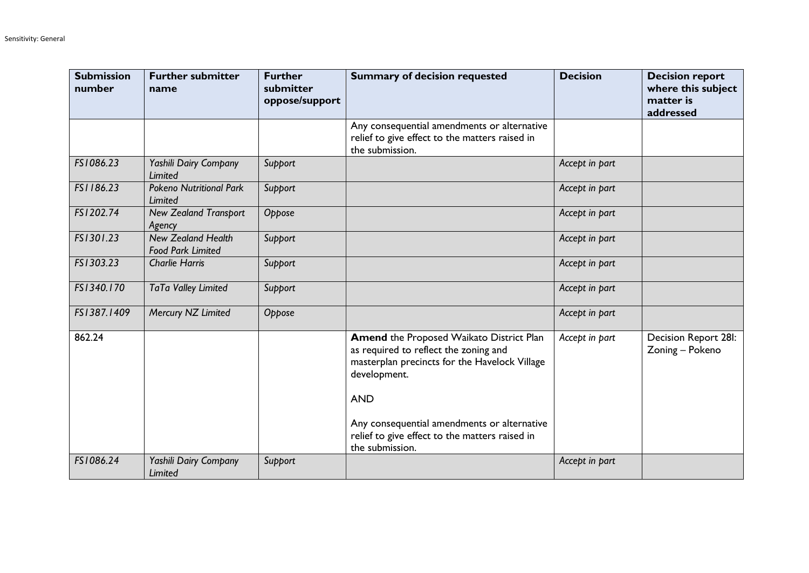| <b>Submission</b><br>number | <b>Further submitter</b><br>name                      | <b>Further</b><br>submitter<br>oppose/support | <b>Summary of decision requested</b>                                                                                                                             | <b>Decision</b> | <b>Decision report</b><br>where this subject<br>matter is<br>addressed |
|-----------------------------|-------------------------------------------------------|-----------------------------------------------|------------------------------------------------------------------------------------------------------------------------------------------------------------------|-----------------|------------------------------------------------------------------------|
|                             |                                                       |                                               | Any consequential amendments or alternative<br>relief to give effect to the matters raised in<br>the submission.                                                 |                 |                                                                        |
| FS1086.23                   | Yashili Dairy Company<br><b>Limited</b>               | Support                                       |                                                                                                                                                                  | Accept in part  |                                                                        |
| FS1186.23                   | <b>Pokeno Nutritional Park</b><br>Limited             | Support                                       |                                                                                                                                                                  | Accept in part  |                                                                        |
| FS1202.74                   | <b>New Zealand Transport</b><br>Agency                | Oppose                                        |                                                                                                                                                                  | Accept in part  |                                                                        |
| FS1301.23                   | <b>New Zealand Health</b><br><b>Food Park Limited</b> | Support                                       |                                                                                                                                                                  | Accept in part  |                                                                        |
| FS1303.23                   | <b>Charlie Harris</b>                                 | Support                                       |                                                                                                                                                                  | Accept in part  |                                                                        |
| FS1340.170                  | TaTa Valley Limited                                   | Support                                       |                                                                                                                                                                  | Accept in part  |                                                                        |
| FS1387.1409                 | Mercury NZ Limited                                    | Oppose                                        |                                                                                                                                                                  | Accept in part  |                                                                        |
| 862.24                      |                                                       |                                               | Amend the Proposed Waikato District Plan<br>as required to reflect the zoning and<br>masterplan precincts for the Havelock Village<br>development.<br><b>AND</b> | Accept in part  | Decision Report 28I:<br>Zoning - Pokeno                                |
|                             |                                                       |                                               | Any consequential amendments or alternative<br>relief to give effect to the matters raised in<br>the submission.                                                 |                 |                                                                        |
| FS1086.24                   | Yashili Dairy Company<br>Limited                      | Support                                       |                                                                                                                                                                  | Accept in part  |                                                                        |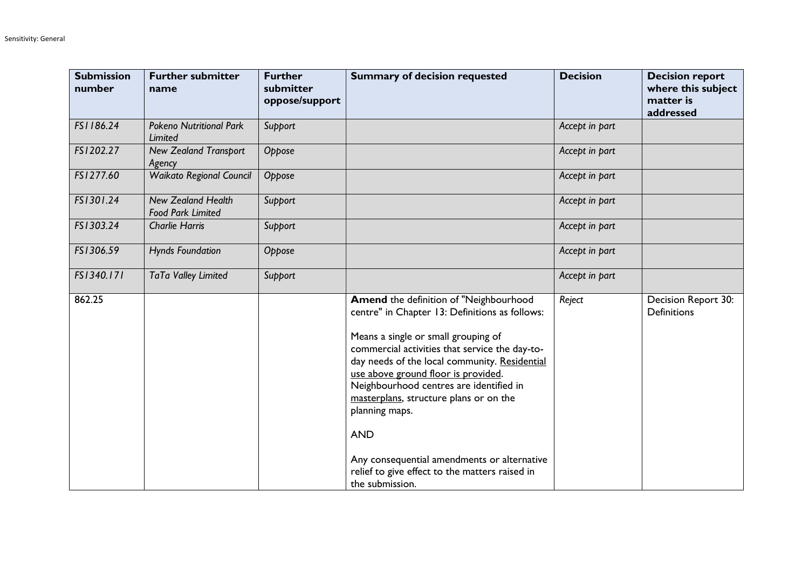| <b>Submission</b><br>number | <b>Further submitter</b><br>name                      | <b>Further</b><br>submitter<br>oppose/support | <b>Summary of decision requested</b>                                                                                                                                                                                                                                                                                                                                                                                                                                                                               | <b>Decision</b> | <b>Decision report</b><br>where this subject<br>matter is<br>addressed |
|-----------------------------|-------------------------------------------------------|-----------------------------------------------|--------------------------------------------------------------------------------------------------------------------------------------------------------------------------------------------------------------------------------------------------------------------------------------------------------------------------------------------------------------------------------------------------------------------------------------------------------------------------------------------------------------------|-----------------|------------------------------------------------------------------------|
| FS1186.24                   | <b>Pokeno Nutritional Park</b><br>Limited             | Support                                       |                                                                                                                                                                                                                                                                                                                                                                                                                                                                                                                    | Accept in part  |                                                                        |
| FS1202.27                   | <b>New Zealand Transport</b><br>Agency                | Oppose                                        |                                                                                                                                                                                                                                                                                                                                                                                                                                                                                                                    | Accept in part  |                                                                        |
| FS1277.60                   | <b>Waikato Regional Council</b>                       | Oppose                                        |                                                                                                                                                                                                                                                                                                                                                                                                                                                                                                                    | Accept in part  |                                                                        |
| FS1301.24                   | <b>New Zealand Health</b><br><b>Food Park Limited</b> | Support                                       |                                                                                                                                                                                                                                                                                                                                                                                                                                                                                                                    | Accept in part  |                                                                        |
| FS1303.24                   | <b>Charlie Harris</b>                                 | Support                                       |                                                                                                                                                                                                                                                                                                                                                                                                                                                                                                                    | Accept in part  |                                                                        |
| FS1306.59                   | <b>Hynds Foundation</b>                               | Oppose                                        |                                                                                                                                                                                                                                                                                                                                                                                                                                                                                                                    | Accept in part  |                                                                        |
| FS1340.171                  | TaTa Valley Limited                                   | Support                                       |                                                                                                                                                                                                                                                                                                                                                                                                                                                                                                                    | Accept in part  |                                                                        |
| 862.25                      |                                                       |                                               | Amend the definition of "Neighbourhood<br>centre" in Chapter 13: Definitions as follows:<br>Means a single or small grouping of<br>commercial activities that service the day-to-<br>day needs of the local community. Residential<br>use above ground floor is provided.<br>Neighbourhood centres are identified in<br>masterplans, structure plans or on the<br>planning maps.<br><b>AND</b><br>Any consequential amendments or alternative<br>relief to give effect to the matters raised in<br>the submission. | Reject          | Decision Report 30:<br><b>Definitions</b>                              |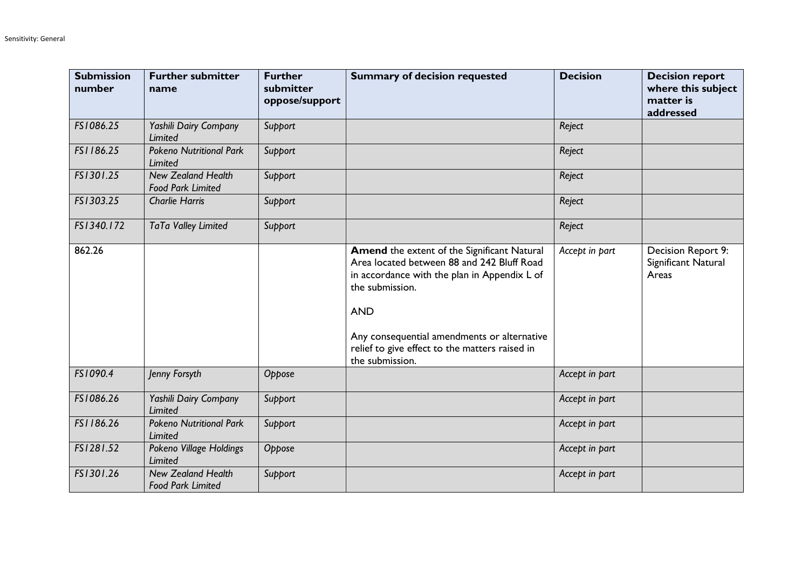| <b>Submission</b><br>number | <b>Further submitter</b><br>name                      | <b>Further</b><br>submitter<br>oppose/support | <b>Summary of decision requested</b>                                                                                                                                                                                                                                                                  | <b>Decision</b> | <b>Decision report</b><br>where this subject<br>matter is<br>addressed |
|-----------------------------|-------------------------------------------------------|-----------------------------------------------|-------------------------------------------------------------------------------------------------------------------------------------------------------------------------------------------------------------------------------------------------------------------------------------------------------|-----------------|------------------------------------------------------------------------|
| FS1086.25                   | Yashili Dairy Company<br>Limited                      | Support                                       |                                                                                                                                                                                                                                                                                                       | Reject          |                                                                        |
| FS1186.25                   | <b>Pokeno Nutritional Park</b><br>Limited             | Support                                       |                                                                                                                                                                                                                                                                                                       | Reject          |                                                                        |
| FS1301.25                   | <b>New Zealand Health</b><br><b>Food Park Limited</b> | Support                                       |                                                                                                                                                                                                                                                                                                       | Reject          |                                                                        |
| FS1303.25                   | <b>Charlie Harris</b>                                 | Support                                       |                                                                                                                                                                                                                                                                                                       | Reject          |                                                                        |
| FS1340.172                  | TaTa Valley Limited                                   | Support                                       |                                                                                                                                                                                                                                                                                                       | Reject          |                                                                        |
| 862.26                      |                                                       |                                               | <b>Amend</b> the extent of the Significant Natural<br>Area located between 88 and 242 Bluff Road<br>in accordance with the plan in Appendix L of<br>the submission.<br><b>AND</b><br>Any consequential amendments or alternative<br>relief to give effect to the matters raised in<br>the submission. | Accept in part  | Decision Report 9:<br>Significant Natural<br>Areas                     |
| FS1090.4                    | Jenny Forsyth                                         | Oppose                                        |                                                                                                                                                                                                                                                                                                       | Accept in part  |                                                                        |
| FS1086.26                   | Yashili Dairy Company<br>Limited                      | Support                                       |                                                                                                                                                                                                                                                                                                       | Accept in part  |                                                                        |
| FS1186.26                   | <b>Pokeno Nutritional Park</b><br>Limited             | Support                                       |                                                                                                                                                                                                                                                                                                       | Accept in part  |                                                                        |
| FS1281.52                   | Pokeno Village Holdings<br>Limited                    | Oppose                                        |                                                                                                                                                                                                                                                                                                       | Accept in part  |                                                                        |
| FS1301.26                   | <b>New Zealand Health</b><br><b>Food Park Limited</b> | Support                                       |                                                                                                                                                                                                                                                                                                       | Accept in part  |                                                                        |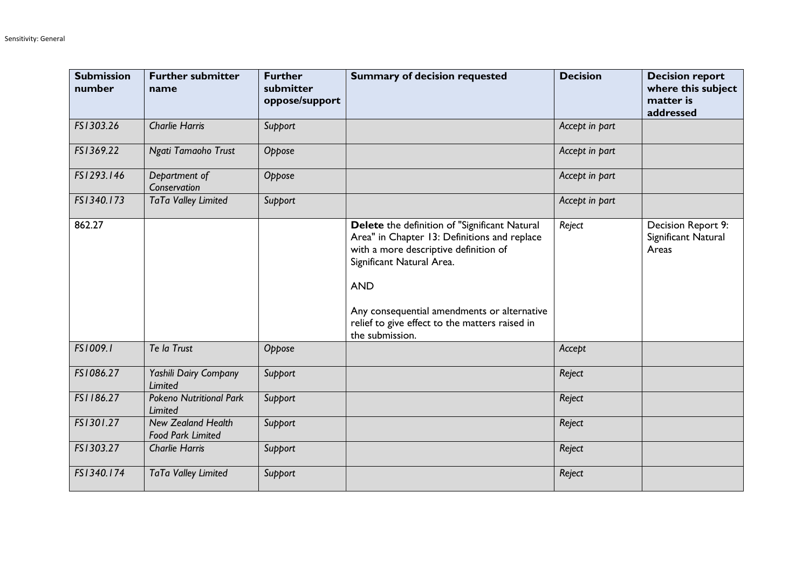| <b>Submission</b><br>number | <b>Further submitter</b><br>name                      | <b>Further</b><br>submitter<br>oppose/support | <b>Summary of decision requested</b>                                                                                                                                                                                                                                                                  | <b>Decision</b> | <b>Decision report</b><br>where this subject<br>matter is<br>addressed |
|-----------------------------|-------------------------------------------------------|-----------------------------------------------|-------------------------------------------------------------------------------------------------------------------------------------------------------------------------------------------------------------------------------------------------------------------------------------------------------|-----------------|------------------------------------------------------------------------|
| FS1303.26                   | <b>Charlie Harris</b>                                 | Support                                       |                                                                                                                                                                                                                                                                                                       | Accept in part  |                                                                        |
| FS1369.22                   | Ngati Tamaoho Trust                                   | Oppose                                        |                                                                                                                                                                                                                                                                                                       | Accept in part  |                                                                        |
| FS1293.146                  | Department of<br>Conservation                         | Oppose                                        |                                                                                                                                                                                                                                                                                                       | Accept in part  |                                                                        |
| FS1340.173                  | TaTa Valley Limited                                   | Support                                       |                                                                                                                                                                                                                                                                                                       | Accept in part  |                                                                        |
| 862.27                      |                                                       |                                               | Delete the definition of "Significant Natural<br>Area" in Chapter 13: Definitions and replace<br>with a more descriptive definition of<br>Significant Natural Area.<br><b>AND</b><br>Any consequential amendments or alternative<br>relief to give effect to the matters raised in<br>the submission. | Reject          | Decision Report 9:<br>Significant Natural<br>Areas                     |
| FS1009.1                    | Te la Trust                                           | Oppose                                        |                                                                                                                                                                                                                                                                                                       | Accept          |                                                                        |
| FS1086.27                   | Yashili Dairy Company<br>Limited                      | Support                                       |                                                                                                                                                                                                                                                                                                       | Reject          |                                                                        |
| FS1186.27                   | <b>Pokeno Nutritional Park</b><br>Limited             | Support                                       |                                                                                                                                                                                                                                                                                                       | Reject          |                                                                        |
| FS1301.27                   | <b>New Zealand Health</b><br><b>Food Park Limited</b> | Support                                       |                                                                                                                                                                                                                                                                                                       | Reject          |                                                                        |
| FS1303.27                   | <b>Charlie Harris</b>                                 | Support                                       |                                                                                                                                                                                                                                                                                                       | Reject          |                                                                        |
| FS1340.174                  | TaTa Valley Limited                                   | Support                                       |                                                                                                                                                                                                                                                                                                       | Reject          |                                                                        |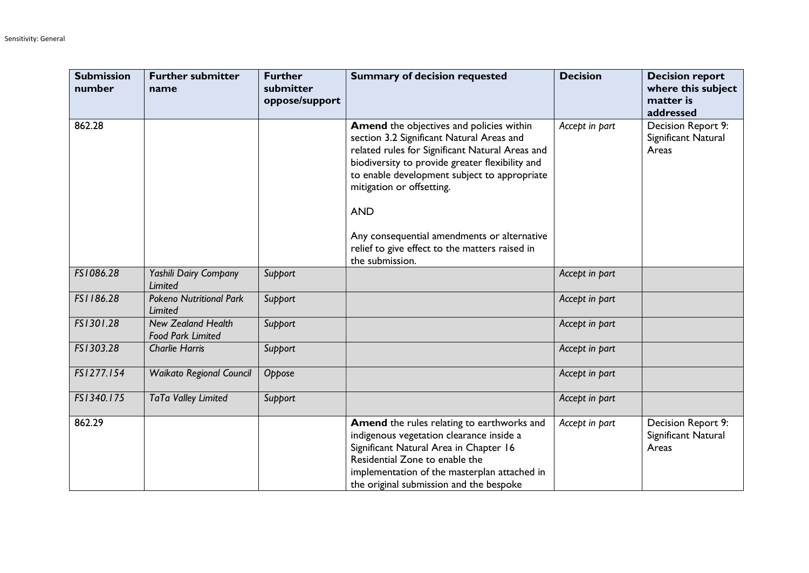| <b>Submission</b><br>number | <b>Further submitter</b><br>name                      | <b>Further</b><br>submitter<br>oppose/support | <b>Summary of decision requested</b>                                                                                                                                                                                                                                                                                                                                                                              | <b>Decision</b> | <b>Decision report</b><br>where this subject<br>matter is<br>addressed |
|-----------------------------|-------------------------------------------------------|-----------------------------------------------|-------------------------------------------------------------------------------------------------------------------------------------------------------------------------------------------------------------------------------------------------------------------------------------------------------------------------------------------------------------------------------------------------------------------|-----------------|------------------------------------------------------------------------|
| 862.28                      |                                                       |                                               | <b>Amend</b> the objectives and policies within<br>section 3.2 Significant Natural Areas and<br>related rules for Significant Natural Areas and<br>biodiversity to provide greater flexibility and<br>to enable development subject to appropriate<br>mitigation or offsetting.<br><b>AND</b><br>Any consequential amendments or alternative<br>relief to give effect to the matters raised in<br>the submission. | Accept in part  | Decision Report 9:<br>Significant Natural<br>Areas                     |
| FS1086.28                   | Yashili Dairy Company<br><b>Limited</b>               | Support                                       |                                                                                                                                                                                                                                                                                                                                                                                                                   | Accept in part  |                                                                        |
| FS1186.28                   | <b>Pokeno Nutritional Park</b><br>Limited             | Support                                       |                                                                                                                                                                                                                                                                                                                                                                                                                   | Accept in part  |                                                                        |
| FS1301.28                   | <b>New Zealand Health</b><br><b>Food Park Limited</b> | Support                                       |                                                                                                                                                                                                                                                                                                                                                                                                                   | Accept in part  |                                                                        |
| FS1303.28                   | <b>Charlie Harris</b>                                 | Support                                       |                                                                                                                                                                                                                                                                                                                                                                                                                   | Accept in part  |                                                                        |
| FS1277.154                  | <b>Waikato Regional Council</b>                       | Oppose                                        |                                                                                                                                                                                                                                                                                                                                                                                                                   | Accept in part  |                                                                        |
| FS1340.175                  | TaTa Valley Limited                                   | Support                                       |                                                                                                                                                                                                                                                                                                                                                                                                                   | Accept in part  |                                                                        |
| 862.29                      |                                                       |                                               | Amend the rules relating to earthworks and<br>indigenous vegetation clearance inside a<br>Significant Natural Area in Chapter 16<br>Residential Zone to enable the<br>implementation of the masterplan attached in<br>the original submission and the bespoke                                                                                                                                                     | Accept in part  | Decision Report 9:<br>Significant Natural<br>Areas                     |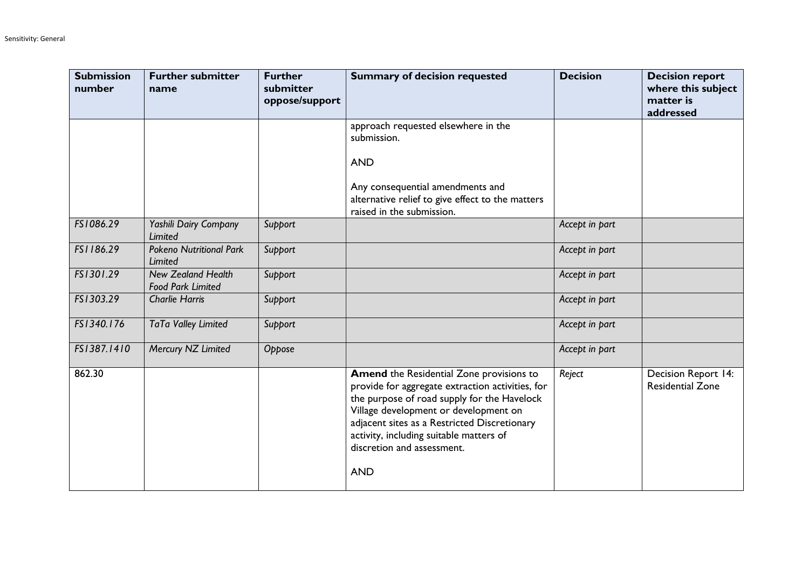| <b>Submission</b><br>number | <b>Further submitter</b><br>name                      | <b>Further</b><br>submitter<br>oppose/support | <b>Summary of decision requested</b>                                                                                                                                                                                                                                                                                               | <b>Decision</b> | <b>Decision report</b><br>where this subject<br>matter is<br>addressed |
|-----------------------------|-------------------------------------------------------|-----------------------------------------------|------------------------------------------------------------------------------------------------------------------------------------------------------------------------------------------------------------------------------------------------------------------------------------------------------------------------------------|-----------------|------------------------------------------------------------------------|
|                             |                                                       |                                               | approach requested elsewhere in the<br>submission.                                                                                                                                                                                                                                                                                 |                 |                                                                        |
|                             |                                                       |                                               | <b>AND</b>                                                                                                                                                                                                                                                                                                                         |                 |                                                                        |
|                             |                                                       |                                               | Any consequential amendments and<br>alternative relief to give effect to the matters<br>raised in the submission.                                                                                                                                                                                                                  |                 |                                                                        |
| FS1086.29                   | Yashili Dairy Company<br>Limited                      | Support                                       |                                                                                                                                                                                                                                                                                                                                    | Accept in part  |                                                                        |
| FS1186.29                   | <b>Pokeno Nutritional Park</b><br>Limited             | Support                                       |                                                                                                                                                                                                                                                                                                                                    | Accept in part  |                                                                        |
| FS1301.29                   | <b>New Zealand Health</b><br><b>Food Park Limited</b> | Support                                       |                                                                                                                                                                                                                                                                                                                                    | Accept in part  |                                                                        |
| FS1303.29                   | <b>Charlie Harris</b>                                 | Support                                       |                                                                                                                                                                                                                                                                                                                                    | Accept in part  |                                                                        |
| FS1340.176                  | TaTa Valley Limited                                   | Support                                       |                                                                                                                                                                                                                                                                                                                                    | Accept in part  |                                                                        |
| FS1387.1410                 | Mercury NZ Limited                                    | Oppose                                        |                                                                                                                                                                                                                                                                                                                                    | Accept in part  |                                                                        |
| 862.30                      |                                                       |                                               | <b>Amend</b> the Residential Zone provisions to<br>provide for aggregate extraction activities, for<br>the purpose of road supply for the Havelock<br>Village development or development on<br>adjacent sites as a Restricted Discretionary<br>activity, including suitable matters of<br>discretion and assessment.<br><b>AND</b> | Reject          | Decision Report 14:<br><b>Residential Zone</b>                         |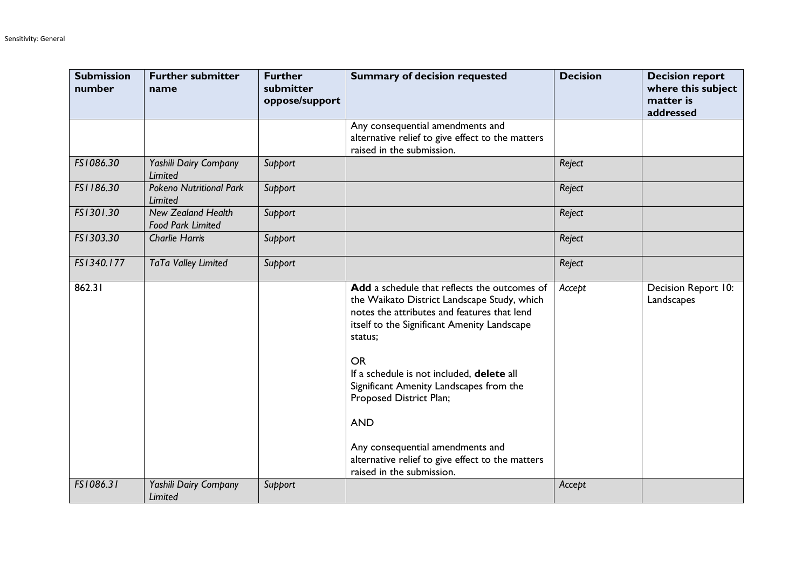| <b>Submission</b><br>number | <b>Further submitter</b><br>name                      | <b>Further</b><br>submitter<br>oppose/support | <b>Summary of decision requested</b>                                                                                                                                                                                                                                                                                                                                                                                                                                    | <b>Decision</b> | <b>Decision report</b><br>where this subject<br>matter is<br>addressed |
|-----------------------------|-------------------------------------------------------|-----------------------------------------------|-------------------------------------------------------------------------------------------------------------------------------------------------------------------------------------------------------------------------------------------------------------------------------------------------------------------------------------------------------------------------------------------------------------------------------------------------------------------------|-----------------|------------------------------------------------------------------------|
|                             |                                                       |                                               | Any consequential amendments and<br>alternative relief to give effect to the matters<br>raised in the submission.                                                                                                                                                                                                                                                                                                                                                       |                 |                                                                        |
| FS1086.30                   | Yashili Dairy Company<br><b>Limited</b>               | Support                                       |                                                                                                                                                                                                                                                                                                                                                                                                                                                                         | Reject          |                                                                        |
| FS1186.30                   | <b>Pokeno Nutritional Park</b><br><b>Limited</b>      | Support                                       |                                                                                                                                                                                                                                                                                                                                                                                                                                                                         | Reject          |                                                                        |
| FS1301.30                   | <b>New Zealand Health</b><br><b>Food Park Limited</b> | Support                                       |                                                                                                                                                                                                                                                                                                                                                                                                                                                                         | Reject          |                                                                        |
| FS1303.30                   | <b>Charlie Harris</b>                                 | Support                                       |                                                                                                                                                                                                                                                                                                                                                                                                                                                                         | Reject          |                                                                        |
| FS1340.177                  | TaTa Valley Limited                                   | Support                                       |                                                                                                                                                                                                                                                                                                                                                                                                                                                                         | Reject          |                                                                        |
| 862.31                      |                                                       |                                               | Add a schedule that reflects the outcomes of<br>the Waikato District Landscape Study, which<br>notes the attributes and features that lend<br>itself to the Significant Amenity Landscape<br>status;<br><b>OR</b><br>If a schedule is not included, delete all<br>Significant Amenity Landscapes from the<br>Proposed District Plan;<br><b>AND</b><br>Any consequential amendments and<br>alternative relief to give effect to the matters<br>raised in the submission. | Accept          | Decision Report 10:<br>Landscapes                                      |
| FS1086.31                   | Yashili Dairy Company<br>Limited                      | Support                                       |                                                                                                                                                                                                                                                                                                                                                                                                                                                                         | Accept          |                                                                        |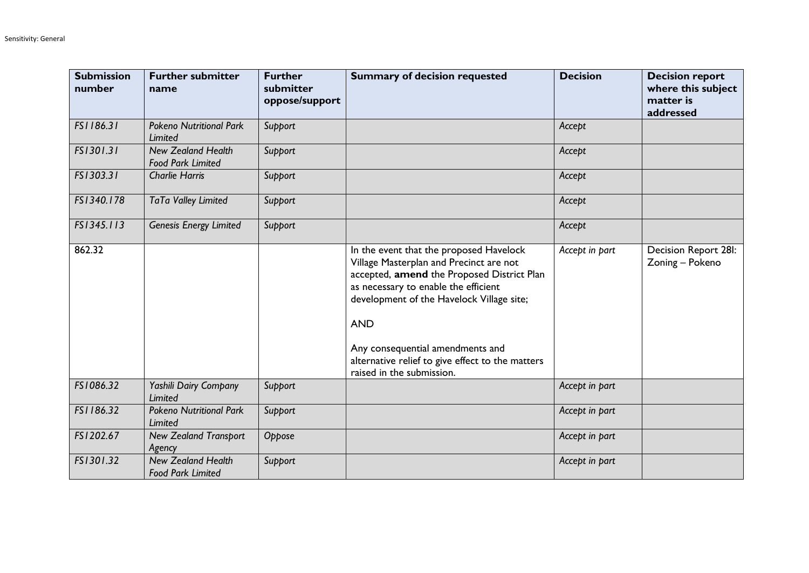| <b>Submission</b><br>number | <b>Further submitter</b><br>name                      | <b>Further</b><br>submitter<br>oppose/support | <b>Summary of decision requested</b>                                                                                                                                                                                                                                                                                                                     | <b>Decision</b> | <b>Decision report</b><br>where this subject<br>matter is<br>addressed |
|-----------------------------|-------------------------------------------------------|-----------------------------------------------|----------------------------------------------------------------------------------------------------------------------------------------------------------------------------------------------------------------------------------------------------------------------------------------------------------------------------------------------------------|-----------------|------------------------------------------------------------------------|
| FS1186.31                   | <b>Pokeno Nutritional Park</b><br>Limited             | Support                                       |                                                                                                                                                                                                                                                                                                                                                          | Accept          |                                                                        |
| FS1301.31                   | <b>New Zealand Health</b><br><b>Food Park Limited</b> | Support                                       |                                                                                                                                                                                                                                                                                                                                                          | Accept          |                                                                        |
| FS1303.31                   | <b>Charlie Harris</b>                                 | Support                                       |                                                                                                                                                                                                                                                                                                                                                          | Accept          |                                                                        |
| FS1340.178                  | TaTa Valley Limited                                   | Support                                       |                                                                                                                                                                                                                                                                                                                                                          | Accept          |                                                                        |
| FS1345.113                  | <b>Genesis Energy Limited</b>                         | Support                                       |                                                                                                                                                                                                                                                                                                                                                          | Accept          |                                                                        |
| 862.32                      |                                                       |                                               | In the event that the proposed Havelock<br>Village Masterplan and Precinct are not<br>accepted, amend the Proposed District Plan<br>as necessary to enable the efficient<br>development of the Havelock Village site;<br><b>AND</b><br>Any consequential amendments and<br>alternative relief to give effect to the matters<br>raised in the submission. | Accept in part  | Decision Report 28I:<br>Zoning - Pokeno                                |
| FS1086.32                   | Yashili Dairy Company<br><b>Limited</b>               | Support                                       |                                                                                                                                                                                                                                                                                                                                                          | Accept in part  |                                                                        |
| FS1186.32                   | <b>Pokeno Nutritional Park</b><br>Limited             | Support                                       |                                                                                                                                                                                                                                                                                                                                                          | Accept in part  |                                                                        |
| FS1202.67                   | <b>New Zealand Transport</b><br>Agency                | Oppose                                        |                                                                                                                                                                                                                                                                                                                                                          | Accept in part  |                                                                        |
| FS1301.32                   | <b>New Zealand Health</b><br><b>Food Park Limited</b> | Support                                       |                                                                                                                                                                                                                                                                                                                                                          | Accept in part  |                                                                        |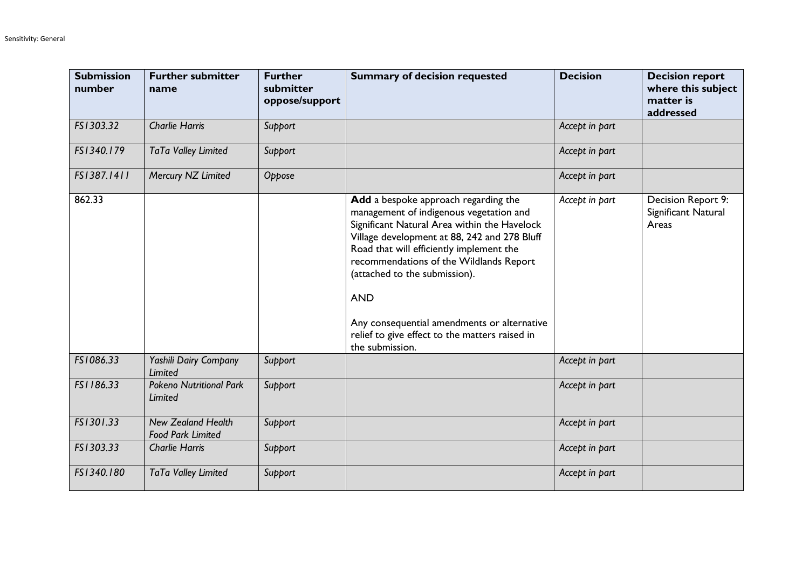| <b>Submission</b><br>number | <b>Further submitter</b><br>name                      | <b>Further</b><br>submitter<br>oppose/support | <b>Summary of decision requested</b>                                                                                                                                                                                                                                                                                                                                                                                                      | <b>Decision</b> | <b>Decision report</b><br>where this subject<br>matter is<br>addressed |
|-----------------------------|-------------------------------------------------------|-----------------------------------------------|-------------------------------------------------------------------------------------------------------------------------------------------------------------------------------------------------------------------------------------------------------------------------------------------------------------------------------------------------------------------------------------------------------------------------------------------|-----------------|------------------------------------------------------------------------|
| FS1303.32                   | <b>Charlie Harris</b>                                 | Support                                       |                                                                                                                                                                                                                                                                                                                                                                                                                                           | Accept in part  |                                                                        |
| FS1340.179                  | TaTa Valley Limited                                   | Support                                       |                                                                                                                                                                                                                                                                                                                                                                                                                                           | Accept in part  |                                                                        |
| FS1387.1411                 | Mercury NZ Limited                                    | Oppose                                        |                                                                                                                                                                                                                                                                                                                                                                                                                                           | Accept in part  |                                                                        |
| 862.33                      |                                                       |                                               | Add a bespoke approach regarding the<br>management of indigenous vegetation and<br>Significant Natural Area within the Havelock<br>Village development at 88, 242 and 278 Bluff<br>Road that will efficiently implement the<br>recommendations of the Wildlands Report<br>(attached to the submission).<br><b>AND</b><br>Any consequential amendments or alternative<br>relief to give effect to the matters raised in<br>the submission. | Accept in part  | Decision Report 9:<br>Significant Natural<br>Areas                     |
| FS1086.33                   | Yashili Dairy Company<br>Limited                      | Support                                       |                                                                                                                                                                                                                                                                                                                                                                                                                                           | Accept in part  |                                                                        |
| FS1186.33                   | <b>Pokeno Nutritional Park</b><br><b>Limited</b>      | Support                                       |                                                                                                                                                                                                                                                                                                                                                                                                                                           | Accept in part  |                                                                        |
| FS1301.33                   | <b>New Zealand Health</b><br><b>Food Park Limited</b> | Support                                       |                                                                                                                                                                                                                                                                                                                                                                                                                                           | Accept in part  |                                                                        |
| FS1303.33                   | <b>Charlie Harris</b>                                 | Support                                       |                                                                                                                                                                                                                                                                                                                                                                                                                                           | Accept in part  |                                                                        |
| FS1340.180                  | TaTa Valley Limited                                   | Support                                       |                                                                                                                                                                                                                                                                                                                                                                                                                                           | Accept in part  |                                                                        |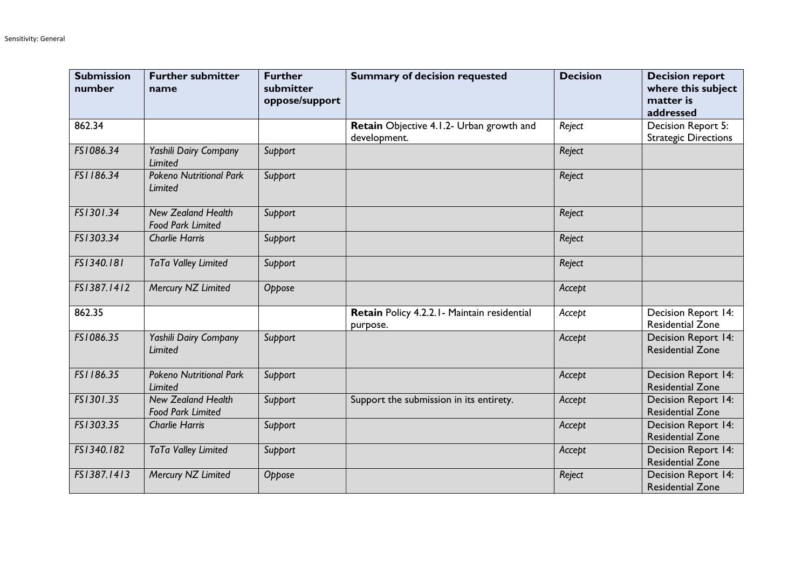| <b>Submission</b><br>number | <b>Further submitter</b><br>name                      | <b>Further</b><br>submitter<br>oppose/support | <b>Summary of decision requested</b>                     | <b>Decision</b> | <b>Decision report</b><br>where this subject<br>matter is<br>addressed |
|-----------------------------|-------------------------------------------------------|-----------------------------------------------|----------------------------------------------------------|-----------------|------------------------------------------------------------------------|
| 862.34                      |                                                       |                                               | Retain Objective 4.1.2- Urban growth and<br>development. | Reject          | Decision Report 5:<br><b>Strategic Directions</b>                      |
| FS1086.34                   | Yashili Dairy Company<br>Limited                      | Support                                       |                                                          | Reject          |                                                                        |
| FS1186.34                   | <b>Pokeno Nutritional Park</b><br><b>Limited</b>      | Support                                       |                                                          | Reject          |                                                                        |
| FS1301.34                   | <b>New Zealand Health</b><br><b>Food Park Limited</b> | Support                                       |                                                          | Reject          |                                                                        |
| FS1303.34                   | <b>Charlie Harris</b>                                 | Support                                       |                                                          | Reject          |                                                                        |
| FS1340.181                  | TaTa Valley Limited                                   | Support                                       |                                                          | Reject          |                                                                        |
| FS1387.1412                 | Mercury NZ Limited                                    | Oppose                                        |                                                          | Accept          |                                                                        |
| 862.35                      |                                                       |                                               | Retain Policy 4.2.2.1 - Maintain residential<br>purpose. | Accept          | Decision Report 14:<br><b>Residential Zone</b>                         |
| FS1086.35                   | Yashili Dairy Company<br>Limited                      | Support                                       |                                                          | Accept          | Decision Report 14:<br><b>Residential Zone</b>                         |
| FS1186.35                   | <b>Pokeno Nutritional Park</b><br>Limited             | Support                                       |                                                          | Accept          | Decision Report 14:<br><b>Residential Zone</b>                         |
| FS1301.35                   | <b>New Zealand Health</b><br><b>Food Park Limited</b> | Support                                       | Support the submission in its entirety.                  | Accept          | <b>Decision Report 14:</b><br><b>Residential Zone</b>                  |
| FS1303.35                   | <b>Charlie Harris</b>                                 | Support                                       |                                                          | Accept          | <b>Decision Report 14:</b><br><b>Residential Zone</b>                  |
| FS1340.182                  | TaTa Valley Limited                                   | Support                                       |                                                          | Accept          | Decision Report 14:<br><b>Residential Zone</b>                         |
| FS1387.1413                 | Mercury NZ Limited                                    | Oppose                                        |                                                          | Reject          | Decision Report 14:<br><b>Residential Zone</b>                         |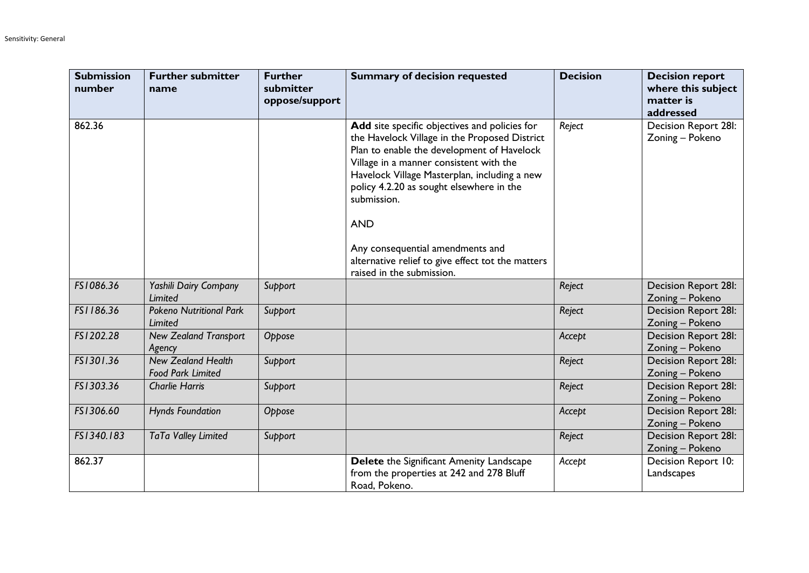| <b>Submission</b><br>number | <b>Further submitter</b><br>name                      | <b>Further</b><br>submitter<br>oppose/support | <b>Summary of decision requested</b>                                                                                                                                                                                                                                                                                                                                                                                                   | <b>Decision</b> | <b>Decision report</b><br>where this subject<br>matter is<br>addressed |
|-----------------------------|-------------------------------------------------------|-----------------------------------------------|----------------------------------------------------------------------------------------------------------------------------------------------------------------------------------------------------------------------------------------------------------------------------------------------------------------------------------------------------------------------------------------------------------------------------------------|-----------------|------------------------------------------------------------------------|
| 862.36                      |                                                       |                                               | Add site specific objectives and policies for<br>the Havelock Village in the Proposed District<br>Plan to enable the development of Havelock<br>Village in a manner consistent with the<br>Havelock Village Masterplan, including a new<br>policy 4.2.20 as sought elsewhere in the<br>submission.<br><b>AND</b><br>Any consequential amendments and<br>alternative relief to give effect tot the matters<br>raised in the submission. | Reject          | <b>Decision Report 28I:</b><br>Zoning - Pokeno                         |
| FS1086.36                   | Yashili Dairy Company<br>Limited                      | Support                                       |                                                                                                                                                                                                                                                                                                                                                                                                                                        | Reject          | <b>Decision Report 28I:</b><br>Zoning - Pokeno                         |
| FS1186.36                   | <b>Pokeno Nutritional Park</b><br>Limited             | Support                                       |                                                                                                                                                                                                                                                                                                                                                                                                                                        | Reject          | <b>Decision Report 28I:</b><br>Zoning - Pokeno                         |
| FS1202.28                   | <b>New Zealand Transport</b><br>Agency                | Oppose                                        |                                                                                                                                                                                                                                                                                                                                                                                                                                        | Accept          | Decision Report 28I:<br>Zoning - Pokeno                                |
| FS1301.36                   | <b>New Zealand Health</b><br><b>Food Park Limited</b> | Support                                       |                                                                                                                                                                                                                                                                                                                                                                                                                                        | Reject          | Decision Report 28I:<br>Zoning - Pokeno                                |
| FS1303.36                   | <b>Charlie Harris</b>                                 | Support                                       |                                                                                                                                                                                                                                                                                                                                                                                                                                        | Reject          | <b>Decision Report 28I:</b><br>Zoning - Pokeno                         |
| FS1306.60                   | <b>Hynds Foundation</b>                               | Oppose                                        |                                                                                                                                                                                                                                                                                                                                                                                                                                        | Accept          | <b>Decision Report 28I:</b><br>Zoning - Pokeno                         |
| FS1340.183                  | TaTa Valley Limited                                   | Support                                       |                                                                                                                                                                                                                                                                                                                                                                                                                                        | Reject          | Decision Report 28I:<br>Zoning - Pokeno                                |
| 862.37                      |                                                       |                                               | Delete the Significant Amenity Landscape<br>from the properties at 242 and 278 Bluff<br>Road, Pokeno.                                                                                                                                                                                                                                                                                                                                  | Accept          | Decision Report 10:<br>Landscapes                                      |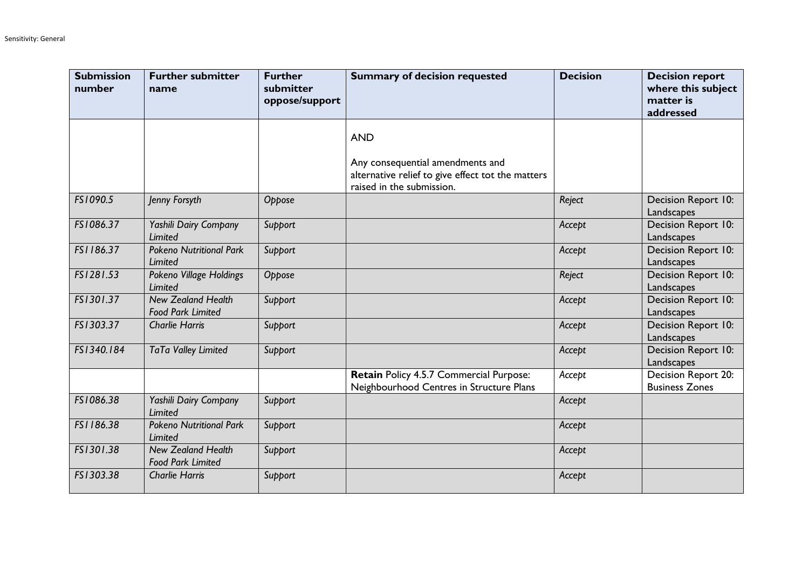| <b>Submission</b><br>number | <b>Further submitter</b><br>name                      | <b>Further</b><br>submitter<br>oppose/support | <b>Summary of decision requested</b>                                                                               | <b>Decision</b> | <b>Decision report</b><br>where this subject<br>matter is<br>addressed |
|-----------------------------|-------------------------------------------------------|-----------------------------------------------|--------------------------------------------------------------------------------------------------------------------|-----------------|------------------------------------------------------------------------|
|                             |                                                       |                                               | <b>AND</b>                                                                                                         |                 |                                                                        |
|                             |                                                       |                                               | Any consequential amendments and<br>alternative relief to give effect tot the matters<br>raised in the submission. |                 |                                                                        |
| FS1090.5                    | Jenny Forsyth                                         | Oppose                                        |                                                                                                                    | Reject          | Decision Report 10:<br>Landscapes                                      |
| FS1086.37                   | Yashili Dairy Company<br>Limited                      | Support                                       |                                                                                                                    | Accept          | Decision Report 10:<br>Landscapes                                      |
| FS1186.37                   | <b>Pokeno Nutritional Park</b><br><b>Limited</b>      | Support                                       |                                                                                                                    | Accept          | Decision Report 10:<br>Landscapes                                      |
| FS1281.53                   | Pokeno Village Holdings<br><b>Limited</b>             | Oppose                                        |                                                                                                                    | Reject          | Decision Report 10:<br>Landscapes                                      |
| FS1301.37                   | <b>New Zealand Health</b><br><b>Food Park Limited</b> | Support                                       |                                                                                                                    | Accept          | Decision Report 10:<br>Landscapes                                      |
| FS1303.37                   | <b>Charlie Harris</b>                                 | Support                                       |                                                                                                                    | Accept          | Decision Report 10:<br>Landscapes                                      |
| FS1340.184                  | TaTa Valley Limited                                   | Support                                       |                                                                                                                    | Accept          | Decision Report 10:<br>Landscapes                                      |
|                             |                                                       |                                               | Retain Policy 4.5.7 Commercial Purpose:<br>Neighbourhood Centres in Structure Plans                                | Accept          | Decision Report 20:<br><b>Business Zones</b>                           |
| FS1086.38                   | Yashili Dairy Company<br><b>Limited</b>               | Support                                       |                                                                                                                    | Accept          |                                                                        |
| FS1186.38                   | <b>Pokeno Nutritional Park</b><br>Limited             | Support                                       |                                                                                                                    | Accept          |                                                                        |
| FS1301.38                   | <b>New Zealand Health</b><br><b>Food Park Limited</b> | Support                                       |                                                                                                                    | Accept          |                                                                        |
| FS1303.38                   | <b>Charlie Harris</b>                                 | Support                                       |                                                                                                                    | Accept          |                                                                        |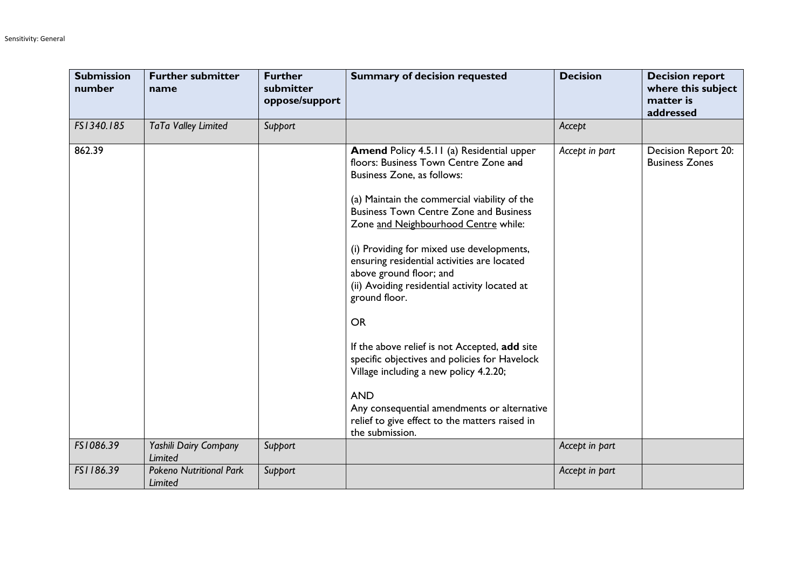| <b>Submission</b><br>number | <b>Further submitter</b><br>name          | <b>Further</b><br>submitter<br>oppose/support | <b>Summary of decision requested</b>                                                                                                                                                                                                                                                                                                                                                                                                                                                                                                                                                                                                                                                                                                                 | <b>Decision</b> | <b>Decision report</b><br>where this subject<br>matter is<br>addressed |
|-----------------------------|-------------------------------------------|-----------------------------------------------|------------------------------------------------------------------------------------------------------------------------------------------------------------------------------------------------------------------------------------------------------------------------------------------------------------------------------------------------------------------------------------------------------------------------------------------------------------------------------------------------------------------------------------------------------------------------------------------------------------------------------------------------------------------------------------------------------------------------------------------------------|-----------------|------------------------------------------------------------------------|
| FS1340.185                  | TaTa Valley Limited                       | Support                                       |                                                                                                                                                                                                                                                                                                                                                                                                                                                                                                                                                                                                                                                                                                                                                      | Accept          |                                                                        |
| 862.39                      |                                           |                                               | <b>Amend Policy 4.5.11 (a) Residential upper</b><br>floors: Business Town Centre Zone and<br>Business Zone, as follows:<br>(a) Maintain the commercial viability of the<br><b>Business Town Centre Zone and Business</b><br>Zone and Neighbourhood Centre while:<br>(i) Providing for mixed use developments,<br>ensuring residential activities are located<br>above ground floor; and<br>(ii) Avoiding residential activity located at<br>ground floor.<br><b>OR</b><br>If the above relief is not Accepted, add site<br>specific objectives and policies for Havelock<br>Village including a new policy 4.2.20;<br><b>AND</b><br>Any consequential amendments or alternative<br>relief to give effect to the matters raised in<br>the submission. | Accept in part  | Decision Report 20:<br><b>Business Zones</b>                           |
| FS1086.39                   | Yashili Dairy Company<br>Limited          | Support                                       |                                                                                                                                                                                                                                                                                                                                                                                                                                                                                                                                                                                                                                                                                                                                                      | Accept in part  |                                                                        |
| FS1186.39                   | <b>Pokeno Nutritional Park</b><br>Limited | Support                                       |                                                                                                                                                                                                                                                                                                                                                                                                                                                                                                                                                                                                                                                                                                                                                      | Accept in part  |                                                                        |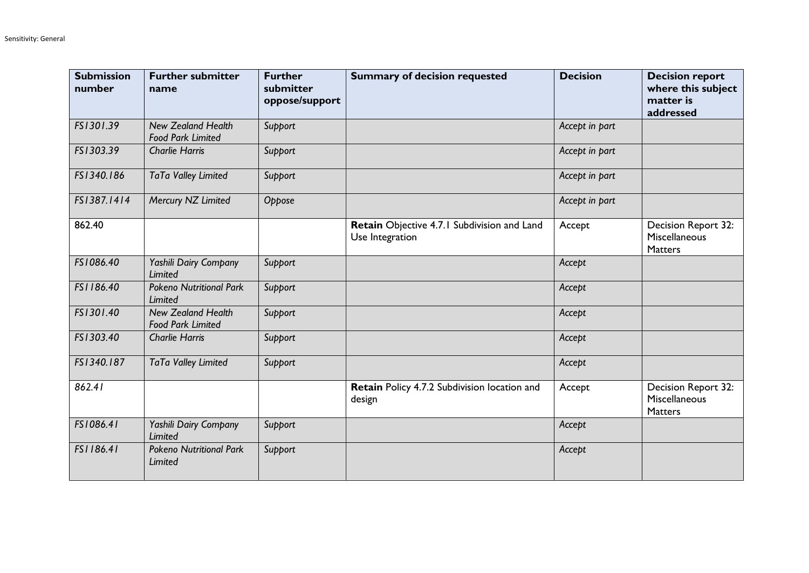| <b>Submission</b><br>number | <b>Further submitter</b><br>name                      | <b>Further</b><br>submitter<br>oppose/support | <b>Summary of decision requested</b>                           | <b>Decision</b> | <b>Decision report</b><br>where this subject<br>matter is<br>addressed |
|-----------------------------|-------------------------------------------------------|-----------------------------------------------|----------------------------------------------------------------|-----------------|------------------------------------------------------------------------|
| FS1301.39                   | <b>New Zealand Health</b><br><b>Food Park Limited</b> | Support                                       |                                                                | Accept in part  |                                                                        |
| FS1303.39                   | <b>Charlie Harris</b>                                 | Support                                       |                                                                | Accept in part  |                                                                        |
| FS1340.186                  | TaTa Valley Limited                                   | Support                                       |                                                                | Accept in part  |                                                                        |
| FS1387.1414                 | Mercury NZ Limited                                    | Oppose                                        |                                                                | Accept in part  |                                                                        |
| 862.40                      |                                                       |                                               | Retain Objective 4.7.1 Subdivision and Land<br>Use Integration | Accept          | Decision Report 32:<br>Miscellaneous<br><b>Matters</b>                 |
| FS1086.40                   | Yashili Dairy Company<br><b>Limited</b>               | Support                                       |                                                                | Accept          |                                                                        |
| FS1186.40                   | <b>Pokeno Nutritional Park</b><br>Limited             | Support                                       |                                                                | Accept          |                                                                        |
| FS1301.40                   | <b>New Zealand Health</b><br><b>Food Park Limited</b> | Support                                       |                                                                | Accept          |                                                                        |
| FS1303.40                   | <b>Charlie Harris</b>                                 | Support                                       |                                                                | Accept          |                                                                        |
| FS1340.187                  | TaTa Valley Limited                                   | Support                                       |                                                                | Accept          |                                                                        |
| 862.41                      |                                                       |                                               | Retain Policy 4.7.2 Subdivision location and<br>design         | Accept          | Decision Report 32:<br>Miscellaneous<br>Matters                        |
| FS1086.41                   | Yashili Dairy Company<br><b>Limited</b>               | Support                                       |                                                                | Accept          |                                                                        |
| FS1186.41                   | <b>Pokeno Nutritional Park</b><br>Limited             | Support                                       |                                                                | Accept          |                                                                        |